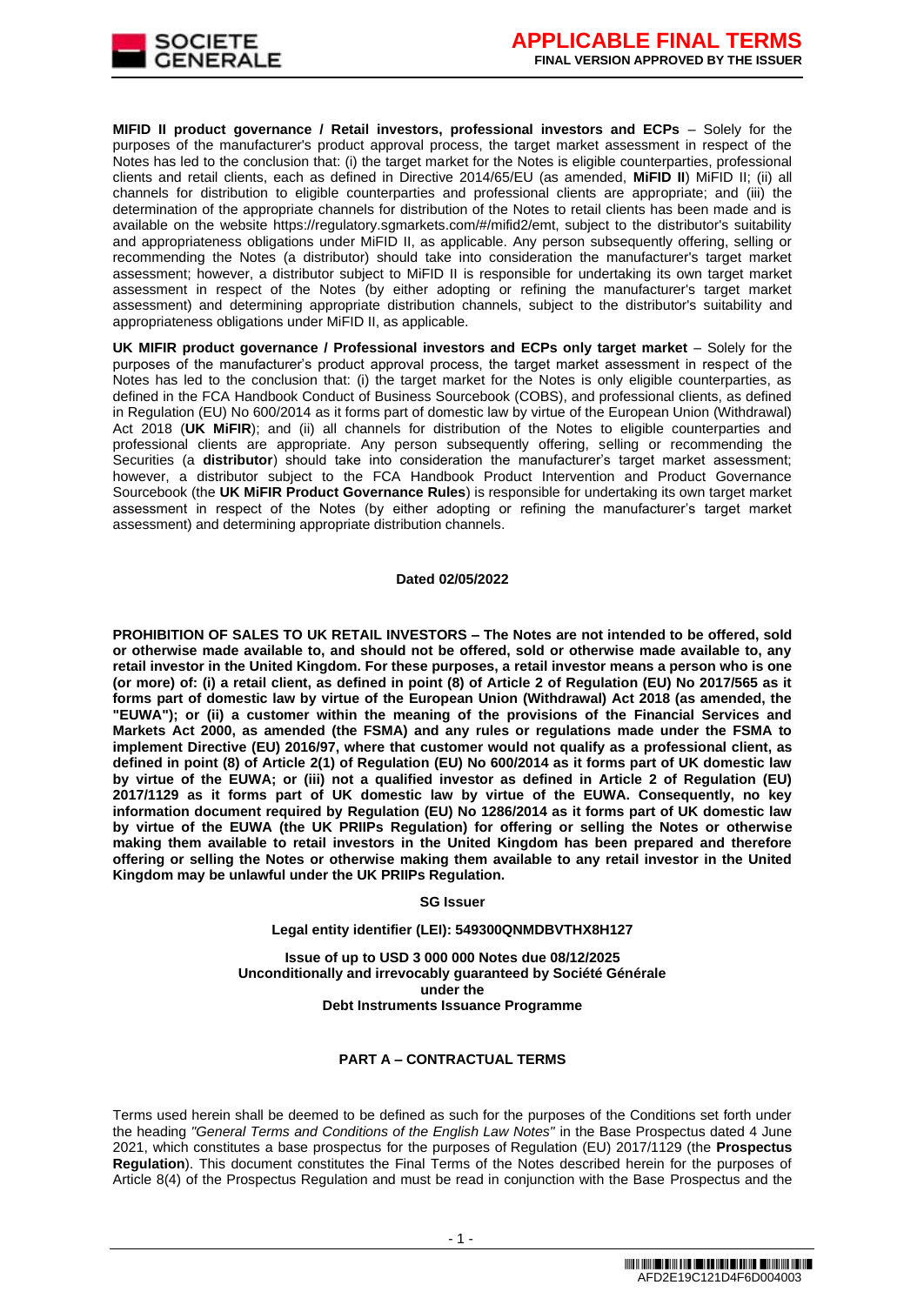

**MIFID II product governance / Retail investors, professional investors and ECPs** – Solely for the purposes of the manufacturer's product approval process, the target market assessment in respect of the Notes has led to the conclusion that: (i) the target market for the Notes is eligible counterparties, professional clients and retail clients, each as defined in Directive 2014/65/EU (as amended, **MiFID II**) MiFID II; (ii) all channels for distribution to eligible counterparties and professional clients are appropriate; and (iii) the determination of the appropriate channels for distribution of the Notes to retail clients has been made and is available on the website https://regulatory.sgmarkets.com/#/mifid2/emt, subject to the distributor's suitability and appropriateness obligations under MiFID II, as applicable. Any person subsequently offering, selling or recommending the Notes (a distributor) should take into consideration the manufacturer's target market assessment; however, a distributor subject to MiFID II is responsible for undertaking its own target market assessment in respect of the Notes (by either adopting or refining the manufacturer's target market assessment) and determining appropriate distribution channels, subject to the distributor's suitability and appropriateness obligations under MiFID II, as applicable.

**UK MIFIR product governance / Professional investors and ECPs only target market** – Solely for the purposes of the manufacturer's product approval process, the target market assessment in respect of the Notes has led to the conclusion that: (i) the target market for the Notes is only eligible counterparties, as defined in the FCA Handbook Conduct of Business Sourcebook (COBS), and professional clients, as defined in Regulation (EU) No 600/2014 as it forms part of domestic law by virtue of the European Union (Withdrawal) Act 2018 (**UK MiFIR**); and (ii) all channels for distribution of the Notes to eligible counterparties and professional clients are appropriate. Any person subsequently offering, selling or recommending the Securities (a **distributor**) should take into consideration the manufacturer's target market assessment; however, a distributor subject to the FCA Handbook Product Intervention and Product Governance Sourcebook (the **UK MiFIR Product Governance Rules**) is responsible for undertaking its own target market assessment in respect of the Notes (by either adopting or refining the manufacturer's target market assessment) and determining appropriate distribution channels.

#### **Dated 02/05/2022**

**PROHIBITION OF SALES TO UK RETAIL INVESTORS – The Notes are not intended to be offered, sold or otherwise made available to, and should not be offered, sold or otherwise made available to, any retail investor in the United Kingdom. For these purposes, a retail investor means a person who is one (or more) of: (i) a retail client, as defined in point (8) of Article 2 of Regulation (EU) No 2017/565 as it forms part of domestic law by virtue of the European Union (Withdrawal) Act 2018 (as amended, the "EUWA"); or (ii) a customer within the meaning of the provisions of the Financial Services and Markets Act 2000, as amended (the FSMA) and any rules or regulations made under the FSMA to implement Directive (EU) 2016/97, where that customer would not qualify as a professional client, as defined in point (8) of Article 2(1) of Regulation (EU) No 600/2014 as it forms part of UK domestic law by virtue of the EUWA; or (iii) not a qualified investor as defined in Article 2 of Regulation (EU) 2017/1129 as it forms part of UK domestic law by virtue of the EUWA. Consequently, no key information document required by Regulation (EU) No 1286/2014 as it forms part of UK domestic law by virtue of the EUWA (the UK PRIIPs Regulation) for offering or selling the Notes or otherwise making them available to retail investors in the United Kingdom has been prepared and therefore offering or selling the Notes or otherwise making them available to any retail investor in the United Kingdom may be unlawful under the UK PRIIPs Regulation.**

#### **SG Issuer**

#### **Legal entity identifier (LEI): 549300QNMDBVTHX8H127**

**Issue of up to USD 3 000 000 Notes due 08/12/2025 Unconditionally and irrevocably guaranteed by Société Générale under the Debt Instruments Issuance Programme**

#### **PART A – CONTRACTUAL TERMS**

Terms used herein shall be deemed to be defined as such for the purposes of the Conditions set forth under the heading *"General Terms and Conditions of the English Law Notes"* in the Base Prospectus dated 4 June 2021, which constitutes a base prospectus for the purposes of Regulation (EU) 2017/1129 (the **Prospectus Regulation**). This document constitutes the Final Terms of the Notes described herein for the purposes of Article 8(4) of the Prospectus Regulation and must be read in conjunction with the Base Prospectus and the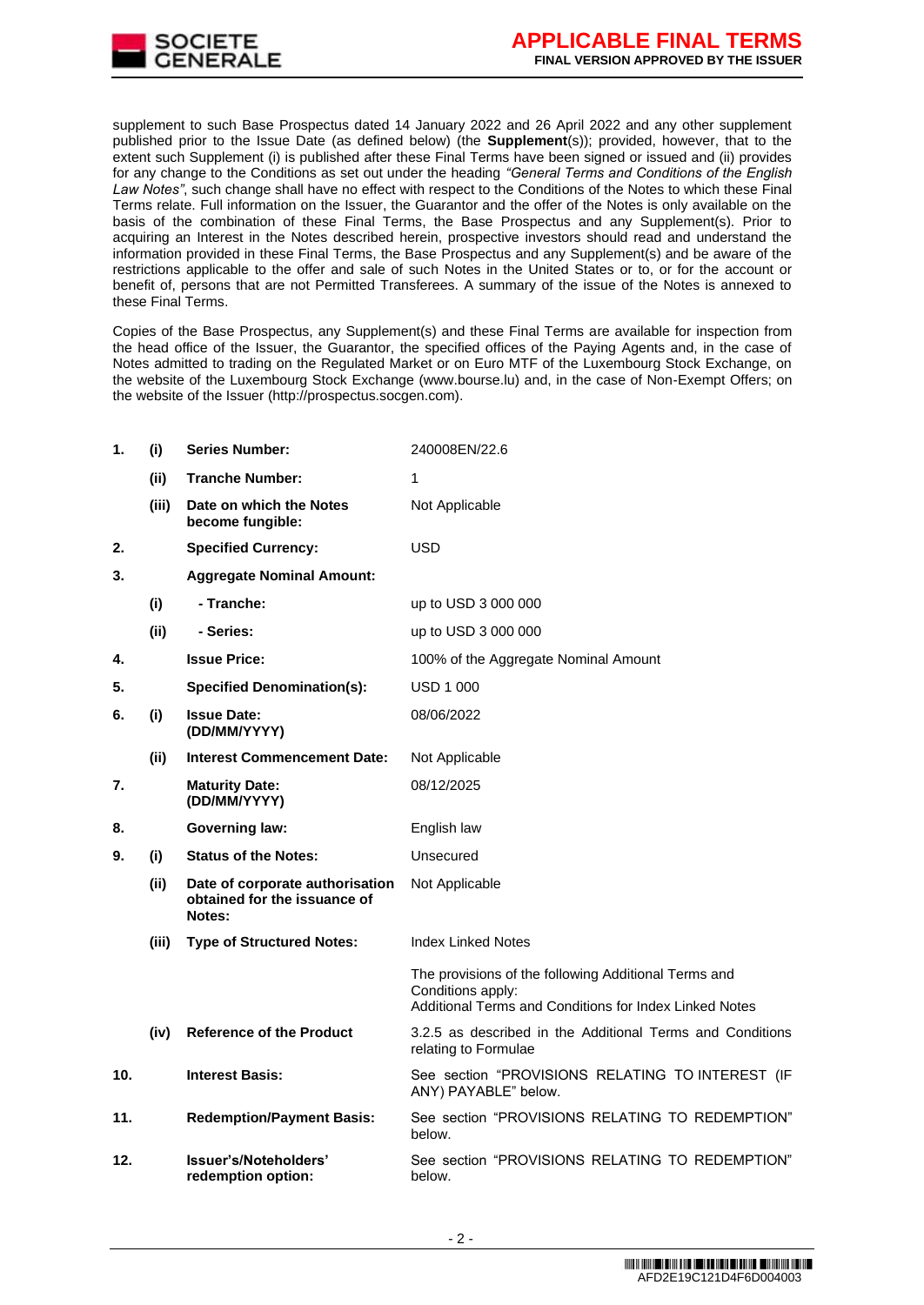

supplement to such Base Prospectus dated 14 January 2022 and 26 April 2022 and any other supplement published prior to the Issue Date (as defined below) (the **Supplement**(s)); provided, however, that to the extent such Supplement (i) is published after these Final Terms have been signed or issued and (ii) provides for any change to the Conditions as set out under the heading *"General Terms and Conditions of the English Law Notes"*, such change shall have no effect with respect to the Conditions of the Notes to which these Final Terms relate. Full information on the Issuer, the Guarantor and the offer of the Notes is only available on the basis of the combination of these Final Terms, the Base Prospectus and any Supplement(s). Prior to acquiring an Interest in the Notes described herein, prospective investors should read and understand the information provided in these Final Terms, the Base Prospectus and any Supplement(s) and be aware of the restrictions applicable to the offer and sale of such Notes in the United States or to, or for the account or benefit of, persons that are not Permitted Transferees. A summary of the issue of the Notes is annexed to these Final Terms.

Copies of the Base Prospectus, any Supplement(s) and these Final Terms are available for inspection from the head office of the Issuer, the Guarantor, the specified offices of the Paying Agents and, in the case of Notes admitted to trading on the Regulated Market or on Euro MTF of the Luxembourg Stock Exchange, on the website of the Luxembourg Stock Exchange (www.bourse.lu) and, in the case of Non-Exempt Offers; on the website of the Issuer (http://prospectus.socgen.com).

| 1.              | (i)   | <b>Series Number:</b>                                                     | 240008EN/22.6                                                                                                                       |
|-----------------|-------|---------------------------------------------------------------------------|-------------------------------------------------------------------------------------------------------------------------------------|
|                 | (ii)  | <b>Tranche Number:</b>                                                    | 1                                                                                                                                   |
|                 | (iii) | Date on which the Notes<br>become fungible:                               | Not Applicable                                                                                                                      |
| 2.              |       | <b>Specified Currency:</b>                                                | <b>USD</b>                                                                                                                          |
| 3.              |       | <b>Aggregate Nominal Amount:</b>                                          |                                                                                                                                     |
|                 | (i)   | - Tranche:                                                                | up to USD 3 000 000                                                                                                                 |
|                 | (ii)  | - Series:                                                                 | up to USD 3 000 000                                                                                                                 |
| 4.              |       | <b>Issue Price:</b>                                                       | 100% of the Aggregate Nominal Amount                                                                                                |
| 5.              |       | <b>Specified Denomination(s):</b>                                         | <b>USD 1 000</b>                                                                                                                    |
| 6.              | (i)   | <b>Issue Date:</b><br>(DD/MM/YYYY)                                        | 08/06/2022                                                                                                                          |
|                 | (ii)  | <b>Interest Commencement Date:</b>                                        | Not Applicable                                                                                                                      |
| 7.              |       | <b>Maturity Date:</b><br>(DD/MM/YYYY)                                     | 08/12/2025                                                                                                                          |
| 8.              |       | <b>Governing law:</b>                                                     | English law                                                                                                                         |
| 9.              | (i)   | <b>Status of the Notes:</b>                                               | Unsecured                                                                                                                           |
|                 | (ii)  | Date of corporate authorisation<br>obtained for the issuance of<br>Notes: | Not Applicable                                                                                                                      |
|                 | (iii) | <b>Type of Structured Notes:</b>                                          | <b>Index Linked Notes</b>                                                                                                           |
|                 |       |                                                                           | The provisions of the following Additional Terms and<br>Conditions apply:<br>Additional Terms and Conditions for Index Linked Notes |
|                 | (iv)  | <b>Reference of the Product</b>                                           | 3.2.5 as described in the Additional Terms and Conditions<br>relating to Formulae                                                   |
| 10 <sub>1</sub> |       | <b>Interest Basis:</b>                                                    | See section "PROVISIONS RELATING TO INTEREST (IF<br>ANY) PAYABLE" below.                                                            |
| 11.             |       | <b>Redemption/Payment Basis:</b>                                          | See section "PROVISIONS RELATING TO REDEMPTION"<br>below.                                                                           |
| 12.             |       | Issuer's/Noteholders'<br>redemption option:                               | See section "PROVISIONS RELATING TO REDEMPTION"<br>below.                                                                           |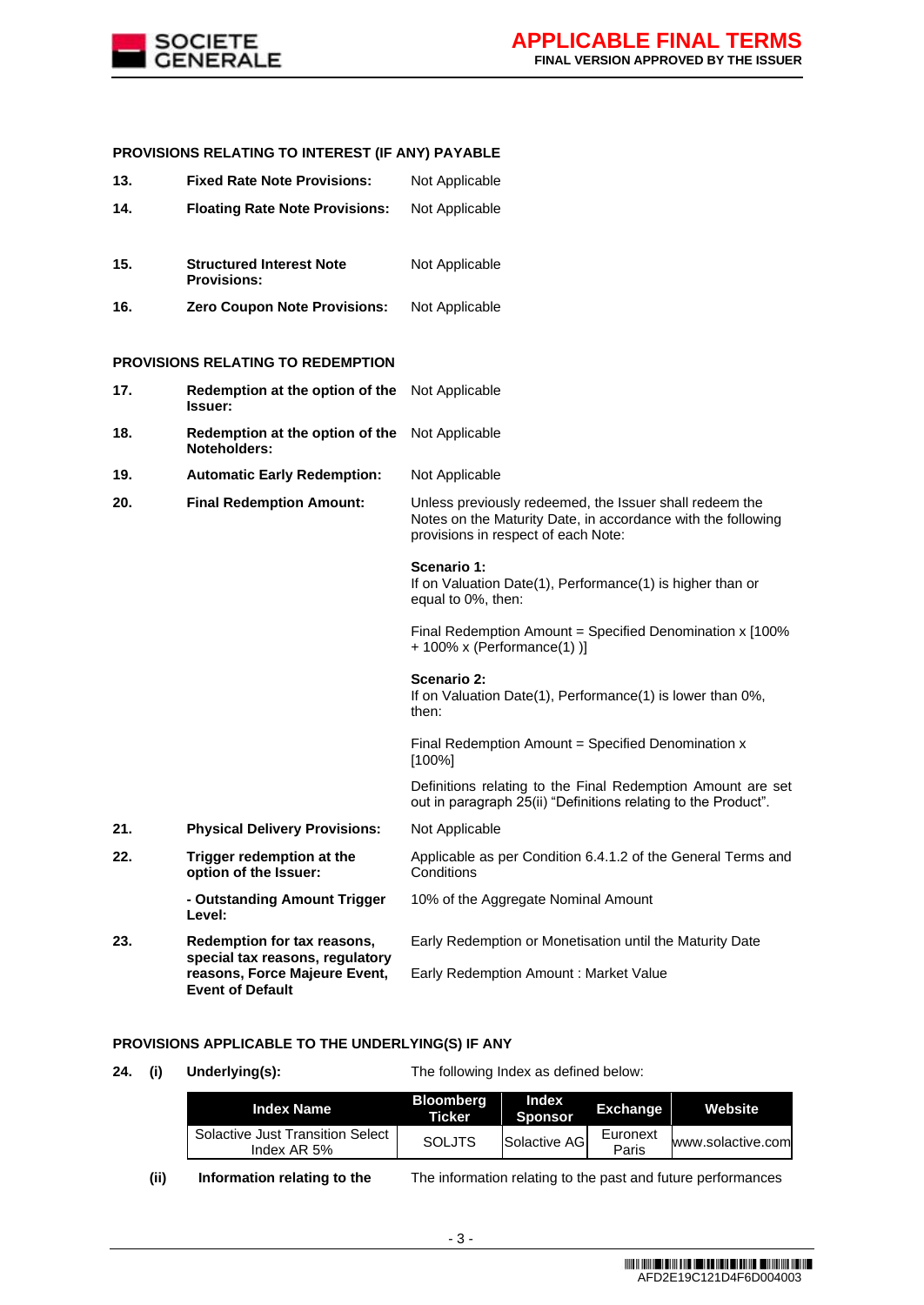

# **PROVISIONS RELATING TO INTEREST (IF ANY) PAYABLE**

| 13. | <b>Fixed Rate Note Provisions:</b>                             | Not Applicable                                                                                                                                                 |
|-----|----------------------------------------------------------------|----------------------------------------------------------------------------------------------------------------------------------------------------------------|
| 14. | <b>Floating Rate Note Provisions:</b>                          | Not Applicable                                                                                                                                                 |
| 15. | <b>Structured Interest Note</b><br><b>Provisions:</b>          | Not Applicable                                                                                                                                                 |
| 16. | <b>Zero Coupon Note Provisions:</b>                            | Not Applicable                                                                                                                                                 |
|     | <b>PROVISIONS RELATING TO REDEMPTION</b>                       |                                                                                                                                                                |
| 17. | Redemption at the option of the<br><b>Issuer:</b>              | Not Applicable                                                                                                                                                 |
| 18. | Redemption at the option of the<br>Noteholders:                | Not Applicable                                                                                                                                                 |
| 19. | <b>Automatic Early Redemption:</b>                             | Not Applicable                                                                                                                                                 |
| 20. | <b>Final Redemption Amount:</b>                                | Unless previously redeemed, the Issuer shall redeem the<br>Notes on the Maturity Date, in accordance with the following<br>provisions in respect of each Note: |
|     |                                                                | Scenario 1:<br>If on Valuation Date(1), Performance(1) is higher than or<br>equal to 0%, then:                                                                 |
|     |                                                                | Final Redemption Amount = Specified Denomination x [100%<br>$+100\%$ x (Performance(1))]                                                                       |
|     |                                                                | Scenario 2:<br>If on Valuation Date(1), Performance(1) is lower than 0%,<br>then:                                                                              |
|     |                                                                | Final Redemption Amount = Specified Denomination x<br>$[100\%]$                                                                                                |
|     |                                                                | Definitions relating to the Final Redemption Amount are set<br>out in paragraph 25(ii) "Definitions relating to the Product".                                  |
| 21. | <b>Physical Delivery Provisions:</b>                           | Not Applicable                                                                                                                                                 |
| 22. | Trigger redemption at the<br>option of the Issuer:             | Applicable as per Condition 6.4.1.2 of the General Terms and<br>Conditions                                                                                     |
|     | - Outstanding Amount Trigger<br>Level:                         | 10% of the Aggregate Nominal Amount                                                                                                                            |
| 23. | Redemption for tax reasons,<br>special tax reasons, regulatory | Early Redemption or Monetisation until the Maturity Date                                                                                                       |
|     | reasons, Force Majeure Event,<br><b>Event of Default</b>       | Early Redemption Amount: Market Value                                                                                                                          |

# **PROVISIONS APPLICABLE TO THE UNDERLYING(S) IF ANY**

**24. (i) Underlying(s):** The following Index as defined below:

| <b>Index Name</b>                               | <b>Bloomberg</b><br>Ticker | Index<br><b>Sponsor</b> | <b>Exchange</b>   | <b>Website</b>    |
|-------------------------------------------------|----------------------------|-------------------------|-------------------|-------------------|
| Solactive Just Transition Select<br>Index AR 5% | <b>SOLJTS</b>              | Solactive AGI           | Euronext<br>Paris | www.solactive.com |

**(ii) Information relating to the** The information relating to the past and future performances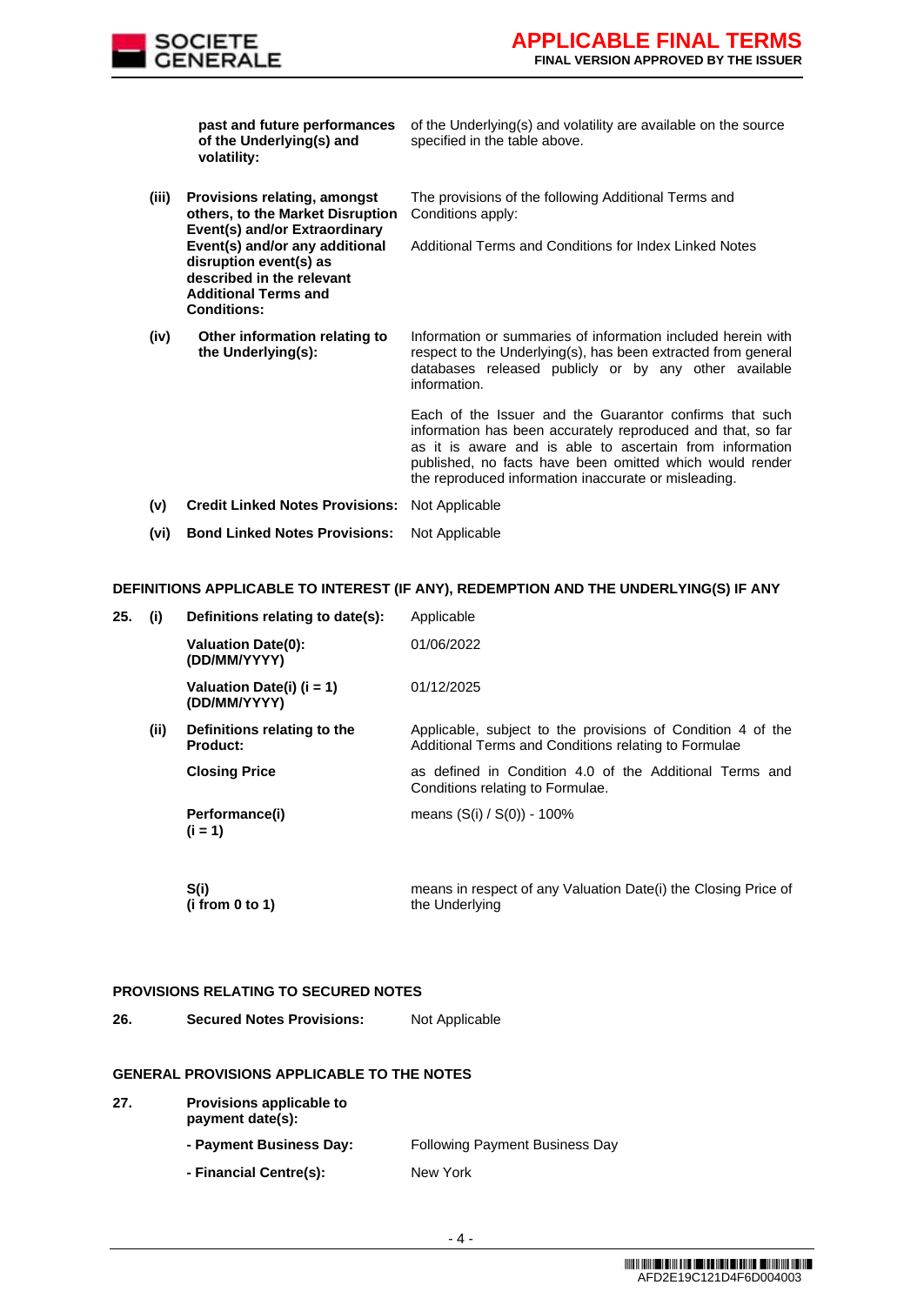

**past and future performances of the Underlying(s) and volatility:** of the Underlying(s) and volatility are available on the source specified in the table above. **(iii) Provisions relating, amongst others, to the Market Disruption Event(s) and/or Extraordinary Event(s) and/or any additional disruption event(s) as described in the relevant Additional Terms and Conditions:** The provisions of the following Additional Terms and Conditions apply: Additional Terms and Conditions for Index Linked Notes **(iv) Other information relating to the Underlying(s):** Information or summaries of information included herein with respect to the Underlying(s), has been extracted from general databases released publicly or by any other available information. Each of the Issuer and the Guarantor confirms that such information has been accurately reproduced and that, so far as it is aware and is able to ascertain from information published, no facts have been omitted which would render the reproduced information inaccurate or misleading. **(v) Credit Linked Notes Provisions:** Not Applicable **(vi) Bond Linked Notes Provisions:** Not Applicable

## **DEFINITIONS APPLICABLE TO INTEREST (IF ANY), REDEMPTION AND THE UNDERLYING(S) IF ANY**

| 25. | (i)  | Definitions relating to date(s):               | Applicable                                                                                                          |
|-----|------|------------------------------------------------|---------------------------------------------------------------------------------------------------------------------|
|     |      | <b>Valuation Date(0):</b><br>(DD/MM/YYYY)      | 01/06/2022                                                                                                          |
|     |      | Valuation Date(i) $(i = 1)$<br>(DD/MM/YYYY)    | 01/12/2025                                                                                                          |
|     | (ii) | Definitions relating to the<br><b>Product:</b> | Applicable, subject to the provisions of Condition 4 of the<br>Additional Terms and Conditions relating to Formulae |
|     |      | <b>Closing Price</b>                           | as defined in Condition 4.0 of the Additional Terms and<br>Conditions relating to Formulae.                         |
|     |      | Performance(i)<br>$(i = 1)$                    | means (S(i) / S(0)) - 100%                                                                                          |
|     |      | S(i)<br>(i from 0 to 1)                        | means in respect of any Valuation Date(i) the Closing Price of<br>the Underlying                                    |

## **PROVISIONS RELATING TO SECURED NOTES**

**26. Secured Notes Provisions:** Not Applicable

## **GENERAL PROVISIONS APPLICABLE TO THE NOTES**

| 27. | <b>Provisions applicable to</b><br>payment date(s): |                                       |  |  |  |
|-----|-----------------------------------------------------|---------------------------------------|--|--|--|
|     | - Payment Business Day:                             | <b>Following Payment Business Day</b> |  |  |  |
|     | - Financial Centre(s):                              | New York                              |  |  |  |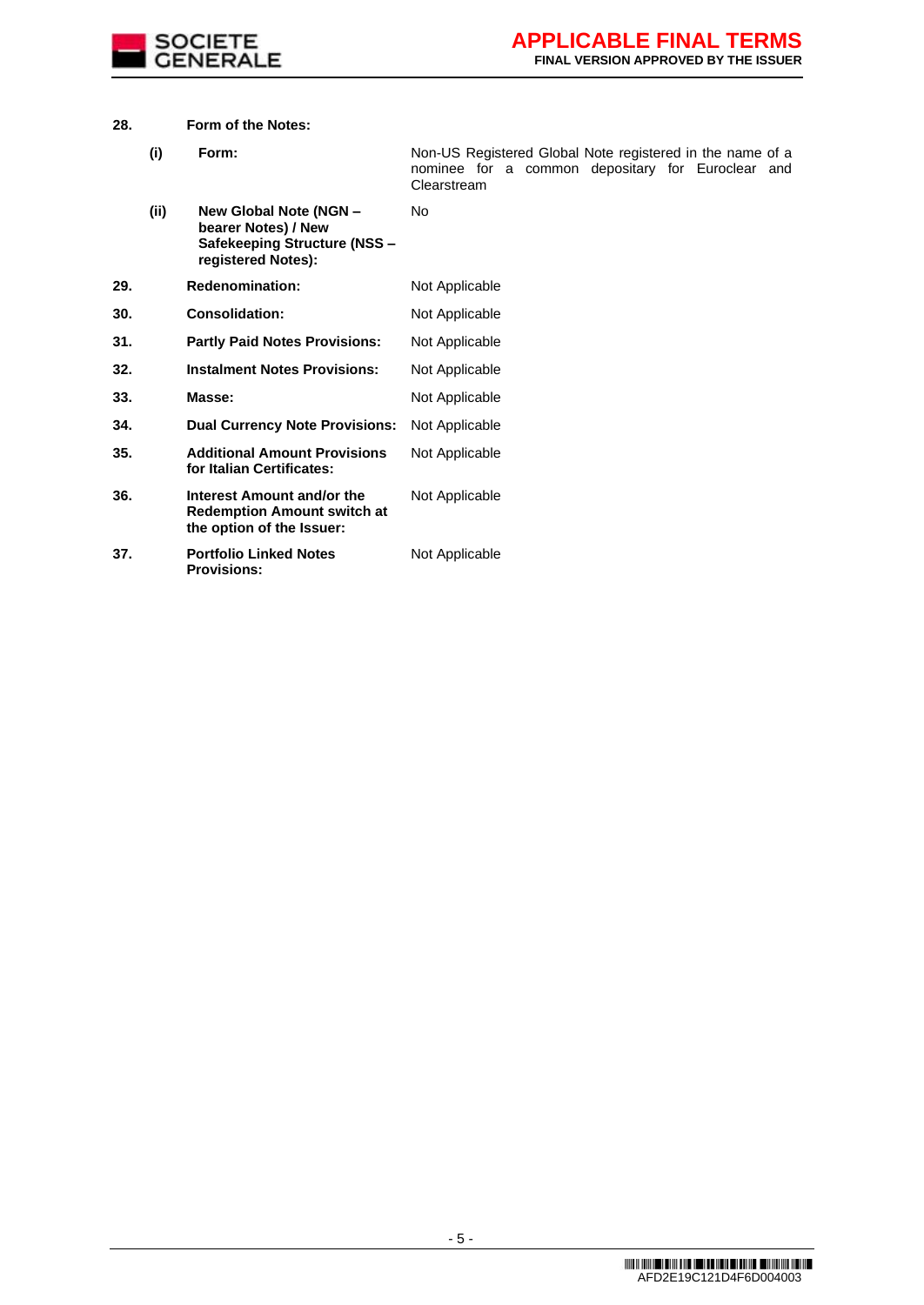

## **28. Form of the Notes:**

**Provisions:**

| (i) | Form: |             |  | Non-US Registered Global Note registered in the name of a |  |  |
|-----|-------|-------------|--|-----------------------------------------------------------|--|--|
|     |       | Clearstream |  | nominee for a common depositary for Euroclear and         |  |  |

**(ii) New Global Note (NGN – bearer Notes) / New Safekeeping Structure (NSS – registered Notes):** No **29. Redenomination:** Not Applicable **30. Consolidation:** Not Applicable **31. Partly Paid Notes Provisions:** Not Applicable **32. Instalment Notes Provisions:** Not Applicable **33. Masse:** Not Applicable **34. Dual Currency Note Provisions:** Not Applicable **35. Additional Amount Provisions for Italian Certificates:** Not Applicable **36. Interest Amount and/or the Redemption Amount switch at the option of the Issuer:** Not Applicable **37. Portfolio Linked Notes**  Not Applicable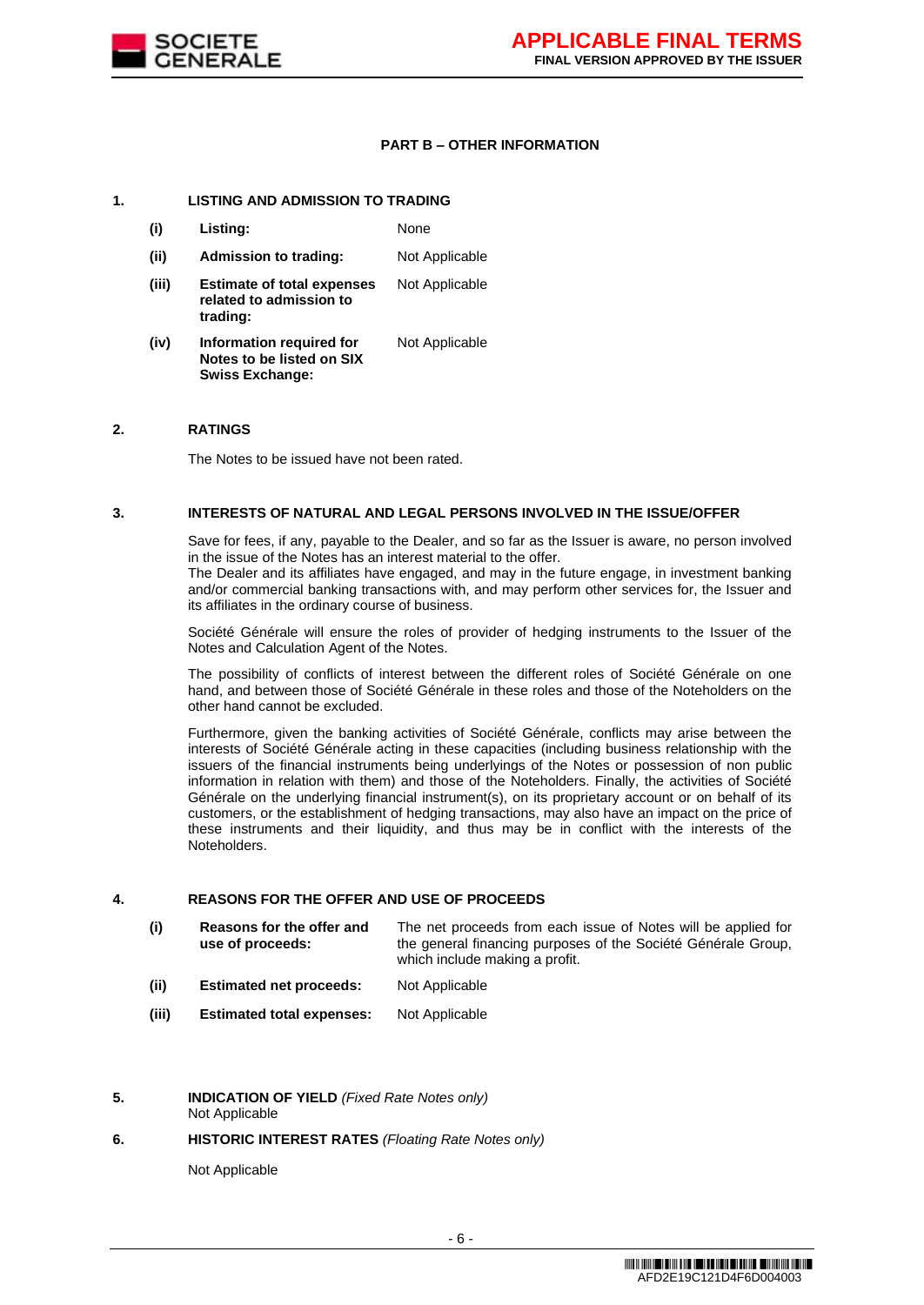

#### **PART B – OTHER INFORMATION**

## **1. LISTING AND ADMISSION TO TRADING**

- **(i) Listing:** None
- **(ii) Admission to trading:** Not Applicable
- **(iii) Estimate of total expenses related to admission to trading:** Not Applicable
- **(iv) Information required for Notes to be listed on SIX Swiss Exchange:** Not Applicable

#### **2. RATINGS**

The Notes to be issued have not been rated.

#### **3. INTERESTS OF NATURAL AND LEGAL PERSONS INVOLVED IN THE ISSUE/OFFER**

Save for fees, if any, payable to the Dealer, and so far as the Issuer is aware, no person involved in the issue of the Notes has an interest material to the offer.

The Dealer and its affiliates have engaged, and may in the future engage, in investment banking and/or commercial banking transactions with, and may perform other services for, the Issuer and its affiliates in the ordinary course of business.

Société Générale will ensure the roles of provider of hedging instruments to the Issuer of the Notes and Calculation Agent of the Notes.

The possibility of conflicts of interest between the different roles of Société Générale on one hand, and between those of Société Générale in these roles and those of the Noteholders on the other hand cannot be excluded.

Furthermore, given the banking activities of Société Générale, conflicts may arise between the interests of Société Générale acting in these capacities (including business relationship with the issuers of the financial instruments being underlyings of the Notes or possession of non public information in relation with them) and those of the Noteholders. Finally, the activities of Société Générale on the underlying financial instrument(s), on its proprietary account or on behalf of its customers, or the establishment of hedging transactions, may also have an impact on the price of these instruments and their liquidity, and thus may be in conflict with the interests of the Noteholders.

## **4. REASONS FOR THE OFFER AND USE OF PROCEEDS**

- **(i) Reasons for the offer and use of proceeds:** The net proceeds from each issue of Notes will be applied for the general financing purposes of the Société Générale Group, which include making a profit.
- **(ii) Estimated net proceeds:** Not Applicable
- **(iii) Estimated total expenses:** Not Applicable
- **5. INDICATION OF YIELD** *(Fixed Rate Notes only)* Not Applicable

#### **6. HISTORIC INTEREST RATES** *(Floating Rate Notes only)*

Not Applicable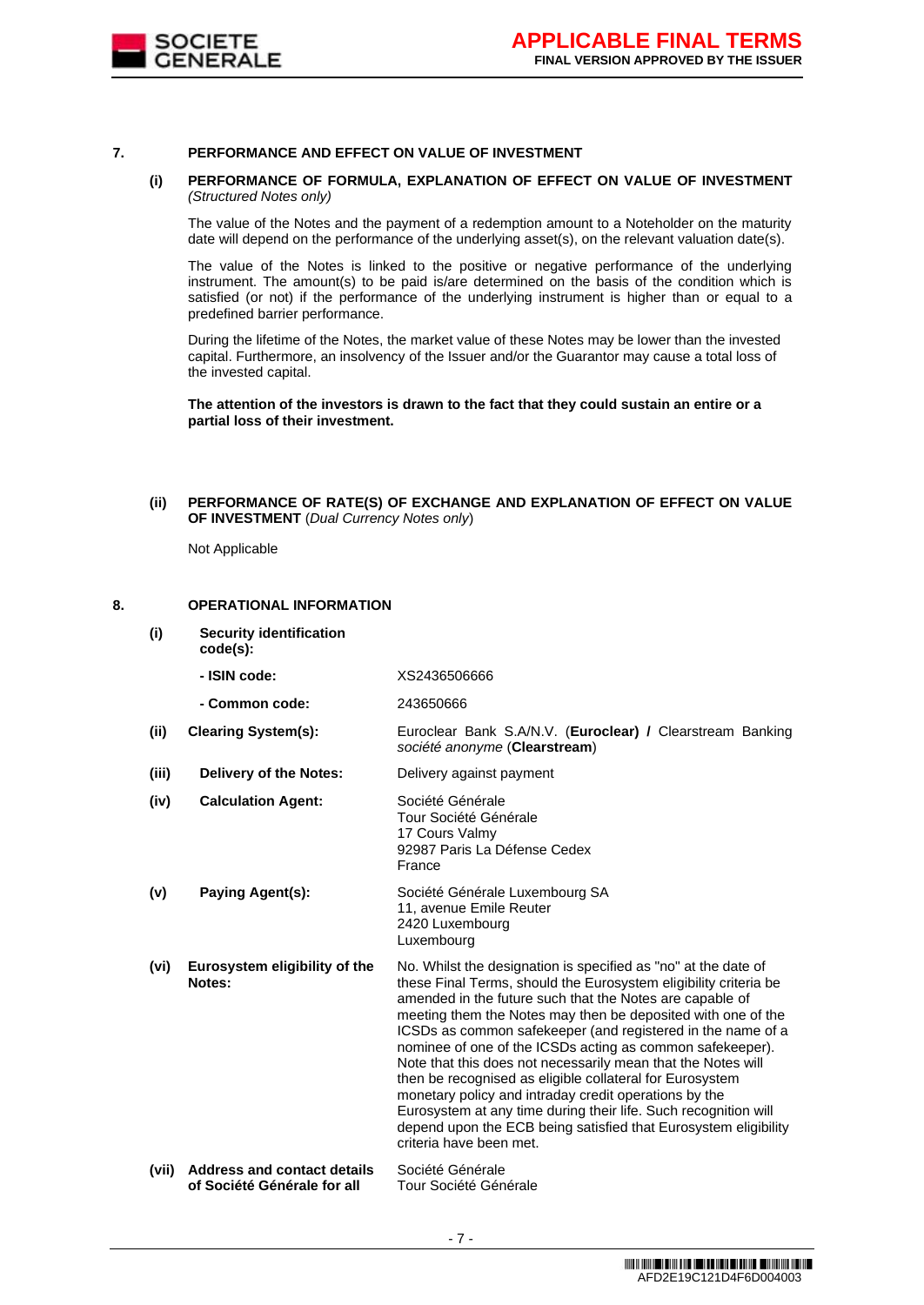

#### **7. PERFORMANCE AND EFFECT ON VALUE OF INVESTMENT**

#### **(i) PERFORMANCE OF FORMULA, EXPLANATION OF EFFECT ON VALUE OF INVESTMENT**  *(Structured Notes only)*

The value of the Notes and the payment of a redemption amount to a Noteholder on the maturity date will depend on the performance of the underlying asset(s), on the relevant valuation date(s).

The value of the Notes is linked to the positive or negative performance of the underlying instrument. The amount(s) to be paid is/are determined on the basis of the condition which is satisfied (or not) if the performance of the underlying instrument is higher than or equal to a predefined barrier performance.

During the lifetime of the Notes, the market value of these Notes may be lower than the invested capital. Furthermore, an insolvency of the Issuer and/or the Guarantor may cause a total loss of the invested capital.

**The attention of the investors is drawn to the fact that they could sustain an entire or a partial loss of their investment.**

## **(ii) PERFORMANCE OF RATE(S) OF EXCHANGE AND EXPLANATION OF EFFECT ON VALUE OF INVESTMENT** (*Dual Currency Notes only*)

Not Applicable

## **8. OPERATIONAL INFORMATION**

- **(i) Security identification** 
	- **code(s):**

|       | - ISIN code:                            | XS2436506666                                                                                                                                                                                                                                                                                                                                                                                                                                                                                                                                                                                                                                                                                                                                     |
|-------|-----------------------------------------|--------------------------------------------------------------------------------------------------------------------------------------------------------------------------------------------------------------------------------------------------------------------------------------------------------------------------------------------------------------------------------------------------------------------------------------------------------------------------------------------------------------------------------------------------------------------------------------------------------------------------------------------------------------------------------------------------------------------------------------------------|
|       | - Common code:                          | 243650666                                                                                                                                                                                                                                                                                                                                                                                                                                                                                                                                                                                                                                                                                                                                        |
| (ii)  | <b>Clearing System(s):</b>              | Euroclear Bank S.A/N.V. (Euroclear) / Clearstream Banking<br>société anonyme (Clearstream)                                                                                                                                                                                                                                                                                                                                                                                                                                                                                                                                                                                                                                                       |
| (iii) | Delivery of the Notes:                  | Delivery against payment                                                                                                                                                                                                                                                                                                                                                                                                                                                                                                                                                                                                                                                                                                                         |
| (iv)  | <b>Calculation Agent:</b>               | Société Générale<br>Tour Société Générale<br>17 Cours Valmy<br>92987 Paris La Défense Cedex<br>France                                                                                                                                                                                                                                                                                                                                                                                                                                                                                                                                                                                                                                            |
| (v)   | Paying Agent(s):                        | Société Générale Luxembourg SA<br>11, avenue Emile Reuter<br>2420 Luxembourg<br>Luxembourg                                                                                                                                                                                                                                                                                                                                                                                                                                                                                                                                                                                                                                                       |
| (vi)  | Eurosystem eligibility of the<br>Notes: | No. Whilst the designation is specified as "no" at the date of<br>these Final Terms, should the Eurosystem eligibility criteria be<br>amended in the future such that the Notes are capable of<br>meeting them the Notes may then be deposited with one of the<br>ICSDs as common safekeeper (and registered in the name of a<br>nominee of one of the ICSDs acting as common safekeeper).<br>Note that this does not necessarily mean that the Notes will<br>then be recognised as eligible collateral for Eurosystem<br>monetary policy and intraday credit operations by the<br>Eurosystem at any time during their life. Such recognition will<br>depend upon the ECB being satisfied that Eurosystem eligibility<br>criteria have been met. |
| (vii) | <b>Address and contact details</b>      | Société Générale                                                                                                                                                                                                                                                                                                                                                                                                                                                                                                                                                                                                                                                                                                                                 |

**of Société Générale for all**  Tour Société Générale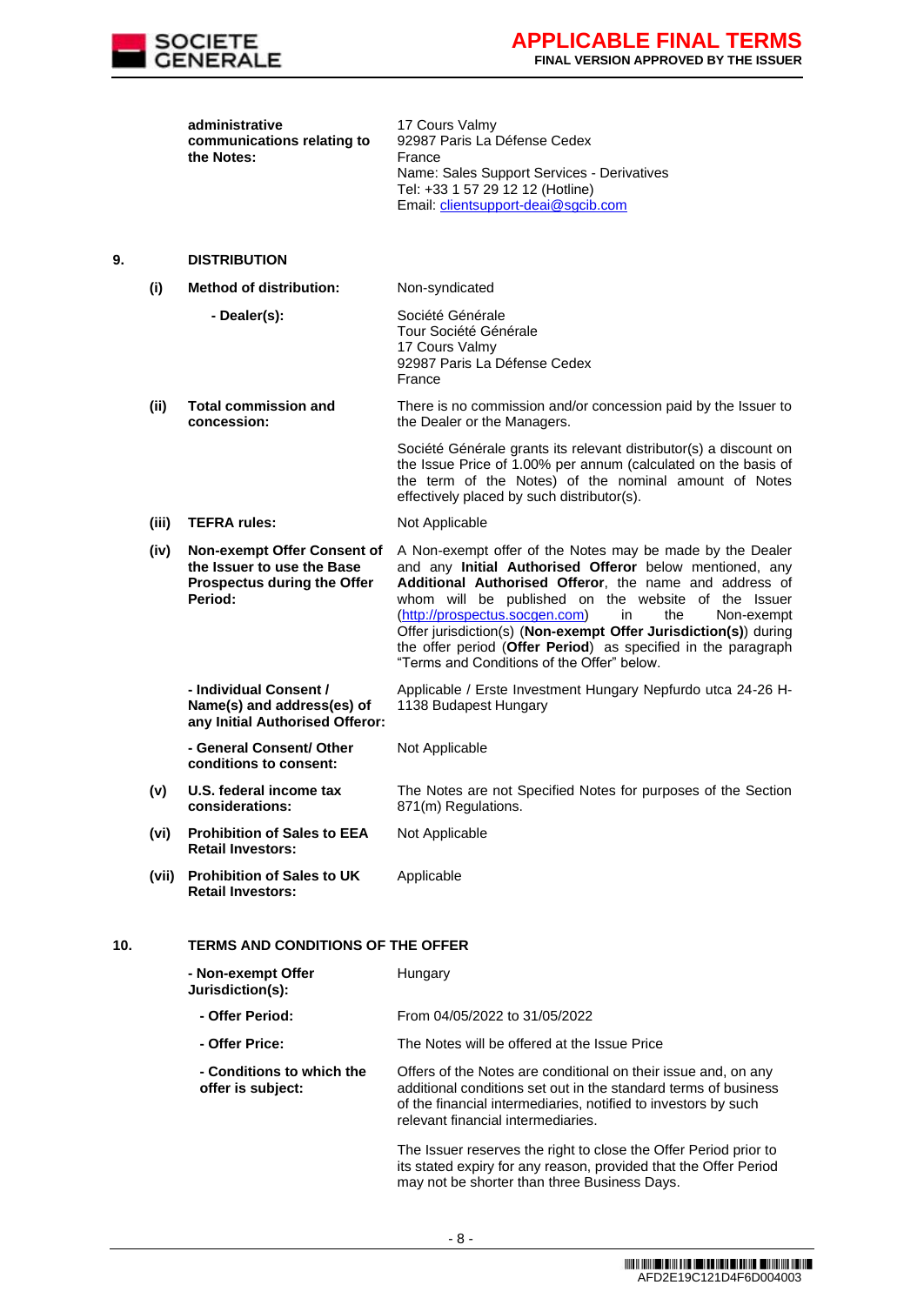

| administrative             | 17 Cours Valmy                             |
|----------------------------|--------------------------------------------|
| communications relating to | 92987 Paris La Défense Cedex               |
| the Notes:                 | France                                     |
|                            | Name: Sales Support Services - Derivatives |
|                            | Tel: +33 1 57 29 12 12 (Hotline)           |
|                            | Email: clientsupport-deai@sgcib.com        |

#### **9. DISTRIBUTION**

**(i) Method of distribution:** Non-syndicated

| - Dealer(s): | Société Générale             |
|--------------|------------------------------|
|              | Tour Société Générale        |
|              | 17 Cours Valmy               |
|              | 92987 Paris La Défense Cedex |
|              | France                       |
|              |                              |

**(ii) Total commission and concession:** There is no commission and/or concession paid by the Issuer to the Dealer or the Managers.

> Société Générale grants its relevant distributor(s) a discount on the Issue Price of 1.00% per annum (calculated on the basis of the term of the Notes) of the nominal amount of Notes effectively placed by such distributor(s).

- **(iii) TEFRA rules:** Not Applicable
- **(iv) Non-exempt Offer Consent of the Issuer to use the Base Prospectus during the Offer Period:**

A Non-exempt offer of the Notes may be made by the Dealer and any **Initial Authorised Offeror** below mentioned, any **Additional Authorised Offeror**, the name and address of whom will be published on the website of the Issuer [\(http://prospectus.socgen.com\)](http://prospectus.socgen.com/) in the Non-exempt Offer jurisdiction(s) (**Non-exempt Offer Jurisdiction(s)**) during the offer period (**Offer Period**) as specified in the paragraph "Terms and Conditions of the Offer" below.

The Notes are not Specified Notes for purposes of the Section

**- Individual Consent / Name(s) and address(es) of any Initial Authorised Offeror:** Applicable / Erste Investment Hungary Nepfurdo utca 24-26 H-1138 Budapest Hungary

871(m) Regulations.

Not Applicable

**- General Consent/ Other conditions to consent:** Not Applicable

- **(v) U.S. federal income tax considerations:**
- **(vi) Prohibition of Sales to EEA Retail Investors:**
- **(vii) Prohibition of Sales to UK Retail Investors:** Applicable

# **10. TERMS AND CONDITIONS OF THE OFFER**

| - Non-exempt Offer<br>Jurisdiction(s):         | Hungary                                                                                                                                                                                                                                   |
|------------------------------------------------|-------------------------------------------------------------------------------------------------------------------------------------------------------------------------------------------------------------------------------------------|
| - Offer Period:                                | From 04/05/2022 to 31/05/2022                                                                                                                                                                                                             |
| - Offer Price:                                 | The Notes will be offered at the Issue Price                                                                                                                                                                                              |
| - Conditions to which the<br>offer is subject: | Offers of the Notes are conditional on their issue and, on any<br>additional conditions set out in the standard terms of business<br>of the financial intermediaries, notified to investors by such<br>relevant financial intermediaries. |
|                                                | The Issuer reserves the right to close the Offer Period prior to                                                                                                                                                                          |

its stated expiry for any reason, provided that the Offer Period may not be shorter than three Business Days.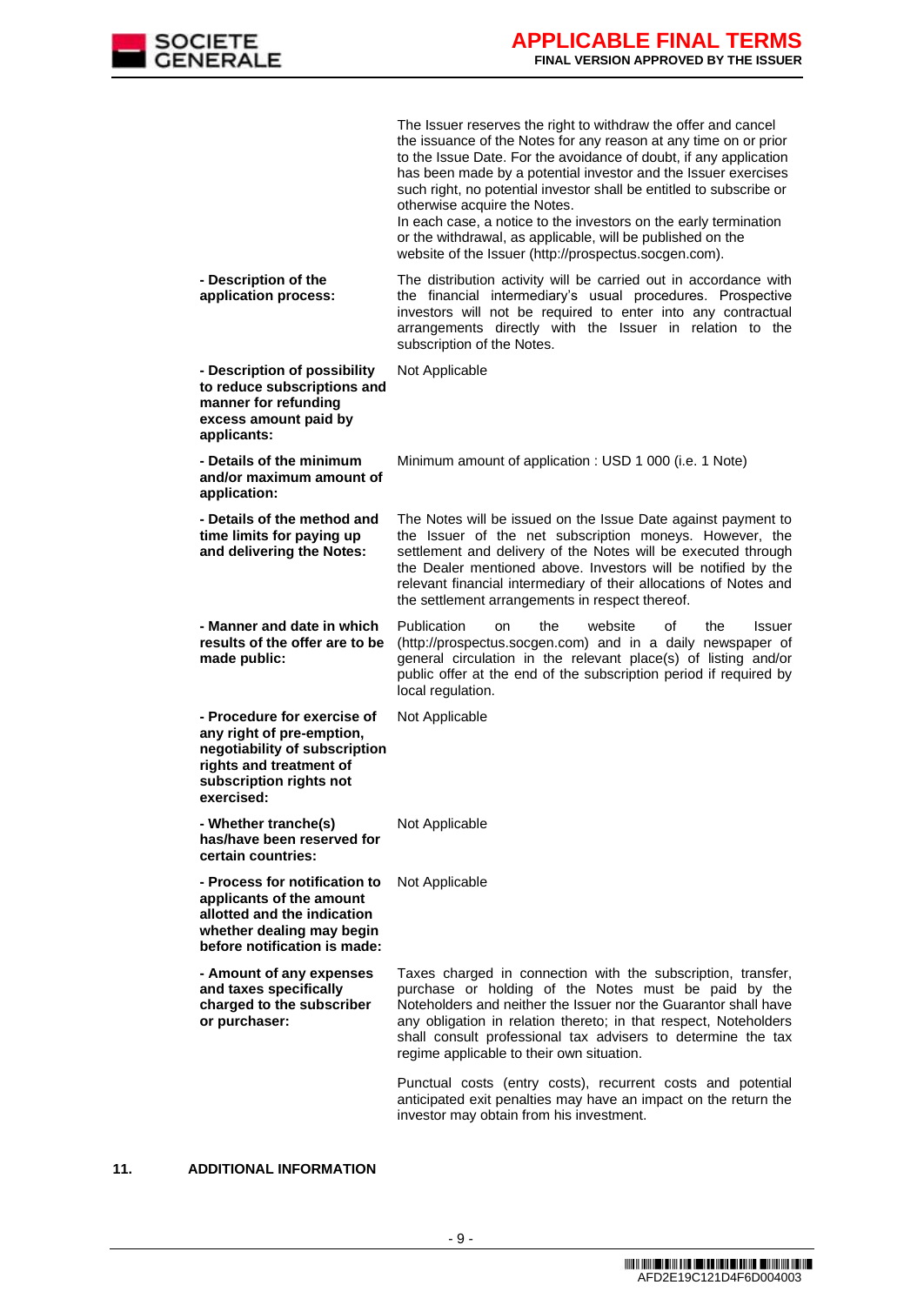

|                                                                                                                                                               | The Issuer reserves the right to withdraw the offer and cancel<br>the issuance of the Notes for any reason at any time on or prior<br>to the Issue Date. For the avoidance of doubt, if any application<br>has been made by a potential investor and the Issuer exercises<br>such right, no potential investor shall be entitled to subscribe or<br>otherwise acquire the Notes.<br>In each case, a notice to the investors on the early termination<br>or the withdrawal, as applicable, will be published on the<br>website of the Issuer (http://prospectus.socgen.com). |
|---------------------------------------------------------------------------------------------------------------------------------------------------------------|-----------------------------------------------------------------------------------------------------------------------------------------------------------------------------------------------------------------------------------------------------------------------------------------------------------------------------------------------------------------------------------------------------------------------------------------------------------------------------------------------------------------------------------------------------------------------------|
| - Description of the<br>application process:                                                                                                                  | The distribution activity will be carried out in accordance with<br>the financial intermediary's usual procedures. Prospective<br>investors will not be required to enter into any contractual<br>arrangements directly with the Issuer in relation to the<br>subscription of the Notes.                                                                                                                                                                                                                                                                                    |
| - Description of possibility<br>to reduce subscriptions and<br>manner for refunding<br>excess amount paid by<br>applicants:                                   | Not Applicable                                                                                                                                                                                                                                                                                                                                                                                                                                                                                                                                                              |
| - Details of the minimum<br>and/or maximum amount of<br>application:                                                                                          | Minimum amount of application : USD 1 000 (i.e. 1 Note)                                                                                                                                                                                                                                                                                                                                                                                                                                                                                                                     |
| - Details of the method and<br>time limits for paying up<br>and delivering the Notes:                                                                         | The Notes will be issued on the Issue Date against payment to<br>the Issuer of the net subscription moneys. However, the<br>settlement and delivery of the Notes will be executed through<br>the Dealer mentioned above. Investors will be notified by the<br>relevant financial intermediary of their allocations of Notes and<br>the settlement arrangements in respect thereof.                                                                                                                                                                                          |
| - Manner and date in which<br>results of the offer are to be<br>made public:                                                                                  | Publication<br>website<br>the<br>οf<br>the<br>Issuer<br>on<br>(http://prospectus.socgen.com) and in a daily newspaper of                                                                                                                                                                                                                                                                                                                                                                                                                                                    |
|                                                                                                                                                               | general circulation in the relevant place(s) of listing and/or<br>public offer at the end of the subscription period if required by<br>local regulation.                                                                                                                                                                                                                                                                                                                                                                                                                    |
| - Procedure for exercise of<br>any right of pre-emption,<br>negotiability of subscription<br>rights and treatment of<br>subscription rights not<br>exercised: | Not Applicable                                                                                                                                                                                                                                                                                                                                                                                                                                                                                                                                                              |
| - Whether tranche(s)<br>has/have been reserved for<br>certain countries:                                                                                      | Not Applicable                                                                                                                                                                                                                                                                                                                                                                                                                                                                                                                                                              |
| - Process for notification to<br>applicants of the amount<br>allotted and the indication<br>whether dealing may begin<br>before notification is made:         | Not Applicable                                                                                                                                                                                                                                                                                                                                                                                                                                                                                                                                                              |
| - Amount of any expenses<br>and taxes specifically<br>charged to the subscriber<br>or purchaser:                                                              | Taxes charged in connection with the subscription, transfer,<br>purchase or holding of the Notes must be paid by the<br>Noteholders and neither the Issuer nor the Guarantor shall have<br>any obligation in relation thereto; in that respect, Noteholders<br>shall consult professional tax advisers to determine the tax<br>regime applicable to their own situation.                                                                                                                                                                                                    |

## **11. ADDITIONAL INFORMATION**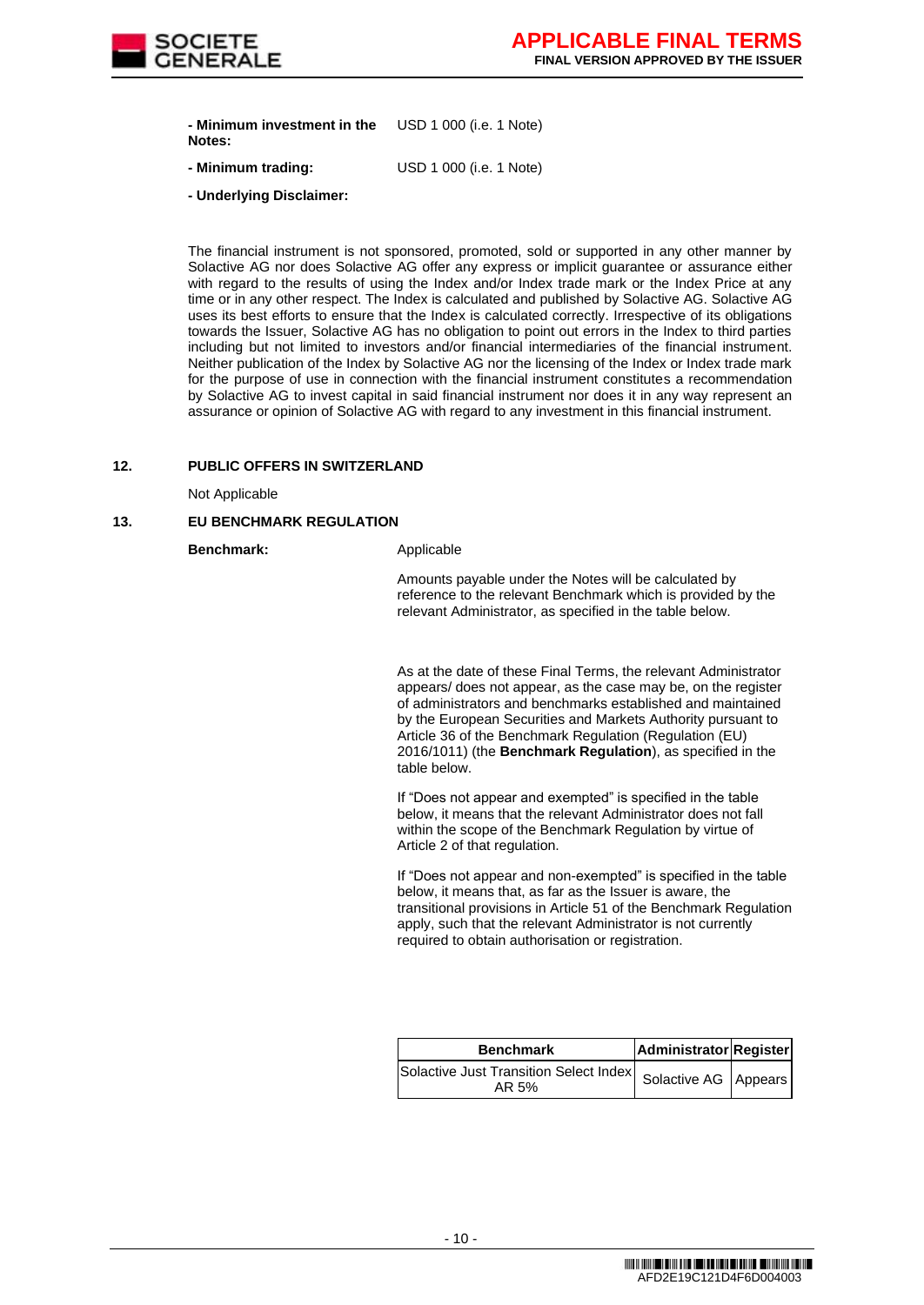

**- Minimum investment in the Notes:** USD 1 000 (i.e. 1 Note)

- **- Minimum trading:** USD 1 000 (i.e. 1 Note)
- **- Underlying Disclaimer:**

The financial instrument is not sponsored, promoted, sold or supported in any other manner by Solactive AG nor does Solactive AG offer any express or implicit guarantee or assurance either with regard to the results of using the Index and/or Index trade mark or the Index Price at any time or in any other respect. The Index is calculated and published by Solactive AG. Solactive AG uses its best efforts to ensure that the Index is calculated correctly. Irrespective of its obligations towards the Issuer, Solactive AG has no obligation to point out errors in the Index to third parties including but not limited to investors and/or financial intermediaries of the financial instrument. Neither publication of the Index by Solactive AG nor the licensing of the Index or Index trade mark for the purpose of use in connection with the financial instrument constitutes a recommendation by Solactive AG to invest capital in said financial instrument nor does it in any way represent an assurance or opinion of Solactive AG with regard to any investment in this financial instrument.

#### **12. PUBLIC OFFERS IN SWITZERLAND**

Not Applicable

## **13. EU BENCHMARK REGULATION**

**Benchmark:** Applicable

Amounts payable under the Notes will be calculated by reference to the relevant Benchmark which is provided by the relevant Administrator, as specified in the table below.

As at the date of these Final Terms, the relevant Administrator appears/ does not appear, as the case may be, on the register of administrators and benchmarks established and maintained by the European Securities and Markets Authority pursuant to Article 36 of the Benchmark Regulation (Regulation (EU) 2016/1011) (the **Benchmark Regulation**), as specified in the table below.

If "Does not appear and exempted" is specified in the table below, it means that the relevant Administrator does not fall within the scope of the Benchmark Regulation by virtue of Article 2 of that regulation.

If "Does not appear and non-exempted" is specified in the table below, it means that, as far as the Issuer is aware, the transitional provisions in Article 51 of the Benchmark Regulation apply, such that the relevant Administrator is not currently required to obtain authorisation or registration.

| <b>Benchmark</b>                                                           | Administrator Register |  |
|----------------------------------------------------------------------------|------------------------|--|
| Solactive Just Transition Select Index   Solactive AG   Appears  <br>AR 5% |                        |  |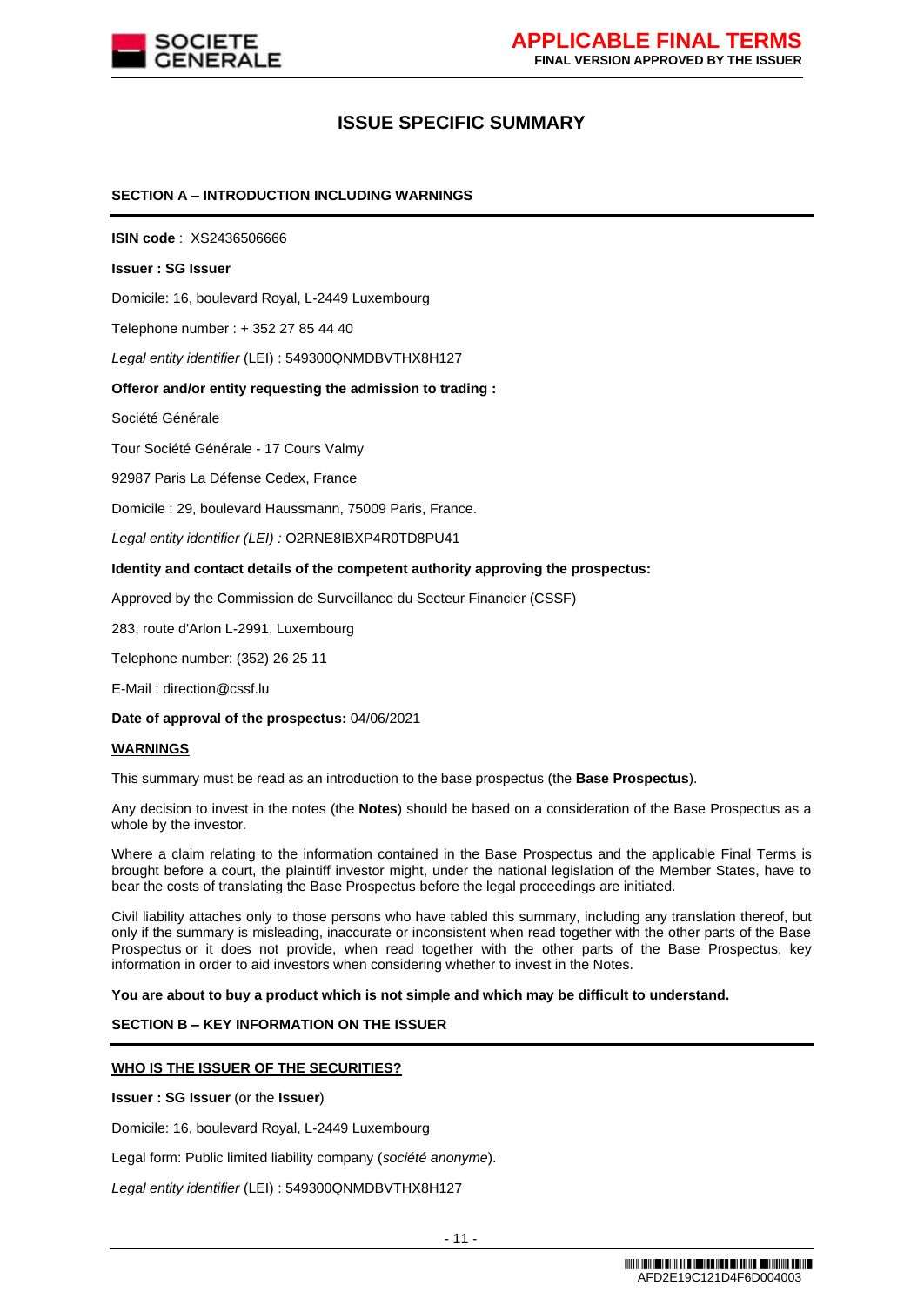

# **ISSUE SPECIFIC SUMMARY**

## **SECTION A – INTRODUCTION INCLUDING WARNINGS**

**ISIN code** : XS2436506666

#### **Issuer : SG Issuer**

Domicile: 16, boulevard Royal, L-2449 Luxembourg

Telephone number : + 352 27 85 44 40

*Legal entity identifier* (LEI) : 549300QNMDBVTHX8H127

## **Offeror and/or entity requesting the admission to trading :**

Société Générale

Tour Société Générale - 17 Cours Valmy

92987 Paris La Défense Cedex, France

Domicile : 29, boulevard Haussmann, 75009 Paris, France.

*Legal entity identifier (LEI) :* O2RNE8IBXP4R0TD8PU41

#### **Identity and contact details of the competent authority approving the prospectus:**

Approved by the Commission de Surveillance du Secteur Financier (CSSF)

283, route d'Arlon L-2991, Luxembourg

Telephone number: (352) 26 25 11

E-Mail : direction@cssf.lu

**Date of approval of the prospectus:** 04/06/2021

#### **WARNINGS**

This summary must be read as an introduction to the base prospectus (the **Base Prospectus**).

Any decision to invest in the notes (the **Notes**) should be based on a consideration of the Base Prospectus as a whole by the investor.

Where a claim relating to the information contained in the Base Prospectus and the applicable Final Terms is brought before a court, the plaintiff investor might, under the national legislation of the Member States, have to bear the costs of translating the Base Prospectus before the legal proceedings are initiated.

Civil liability attaches only to those persons who have tabled this summary, including any translation thereof, but only if the summary is misleading, inaccurate or inconsistent when read together with the other parts of the Base Prospectus or it does not provide, when read together with the other parts of the Base Prospectus, key information in order to aid investors when considering whether to invest in the Notes.

**You are about to buy a product which is not simple and which may be difficult to understand.**

## **SECTION B – KEY INFORMATION ON THE ISSUER**

## **WHO IS THE ISSUER OF THE SECURITIES?**

**Issuer : SG Issuer** (or the **Issuer**)

Domicile: 16, boulevard Royal, L-2449 Luxembourg

Legal form: Public limited liability company (*société anonyme*).

*Legal entity identifier* (LEI) : 549300QNMDBVTHX8H127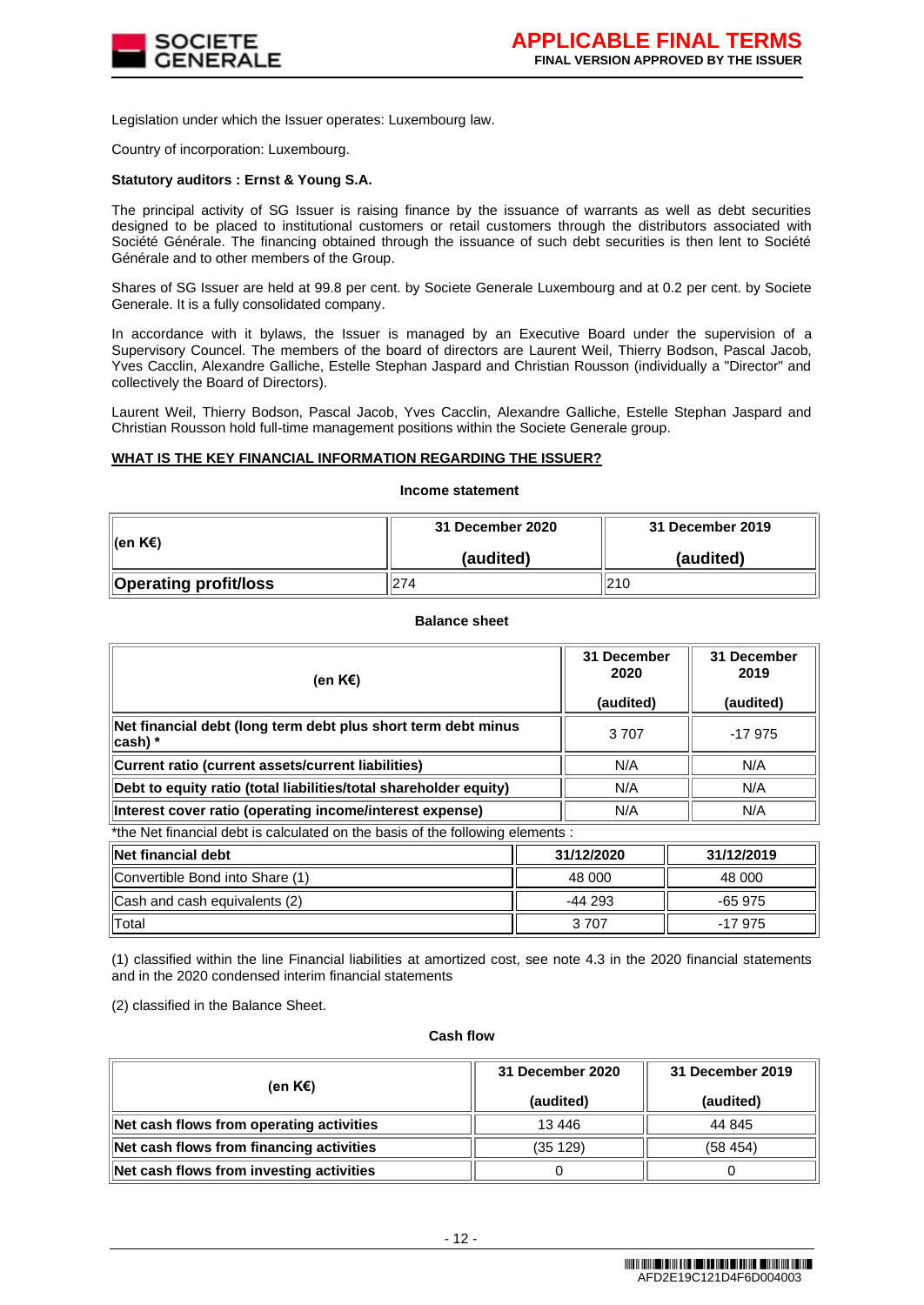

Legislation under which the Issuer operates: Luxembourg law.

Country of incorporation: Luxembourg.

## **Statutory auditors : Ernst & Young S.A.**

The principal activity of SG Issuer is raising finance by the issuance of warrants as well as debt securities designed to be placed to institutional customers or retail customers through the distributors associated with Société Générale. The financing obtained through the issuance of such debt securities is then lent to Société Générale and to other members of the Group.

Shares of SG Issuer are held at 99.8 per cent. by Societe Generale Luxembourg and at 0.2 per cent. by Societe Generale. It is a fully consolidated company.

In accordance with it bylaws, the Issuer is managed by an Executive Board under the supervision of a Supervisory Councel. The members of the board of directors are Laurent Weil, Thierry Bodson, Pascal Jacob, Yves Cacclin, Alexandre Galliche, Estelle Stephan Jaspard and Christian Rousson (individually a "Director" and collectively the Board of Directors).

Laurent Weil, Thierry Bodson, Pascal Jacob, Yves Cacclin, Alexandre Galliche, Estelle Stephan Jaspard and Christian Rousson hold full-time management positions within the Societe Generale group.

## **WHAT IS THE KEY FINANCIAL INFORMATION REGARDING THE ISSUER?**

**Income statement**

|                       | 31 December 2020 | 31 December 2019 |  |
|-----------------------|------------------|------------------|--|
| ∥(en K€)              | (audited)        | (audited)        |  |
| Operating profit/loss | 274              | 210              |  |

#### **Balance sheet**

| (en K€)                                                                        | 31 December<br>2020<br>(audited) | 31 December<br>2019<br>(audited) |
|--------------------------------------------------------------------------------|----------------------------------|----------------------------------|
| Net financial debt (long term debt plus short term debt minus<br>∥cash) *      | 3707                             | $-17975$                         |
| Current ratio (current assets/current liabilities)                             | N/A                              | N/A                              |
| Debt to equity ratio (total liabilities/total shareholder equity)              | N/A                              | N/A                              |
| Interest cover ratio (operating income/interest expense)                       | N/A                              | N/A                              |
| *the Net financial debt is calculated on the basis of the following elements . |                                  |                                  |

the Net financial debt is calculated on the basis of the following elements  $\colon$ 

| lNet financial debt             | 31/12/2020 | 31/12/2019 |
|---------------------------------|------------|------------|
| Convertible Bond into Share (1) | 48 000     | 48 000     |
| Cash and cash equivalents (2)   | $-44293$   | $-65.975$  |
| Total                           | 3 7 0 7    | $-17975$   |

(1) classified within the line Financial liabilities at amortized cost, see note 4.3 in the 2020 financial statements and in the 2020 condensed interim financial statements

(2) classified in the Balance Sheet.

#### **Cash flow**

| (en K€)                                  | 31 December 2020<br>(audited) | 31 December 2019<br>(audited) |
|------------------------------------------|-------------------------------|-------------------------------|
| Net cash flows from operating activities | 13446                         | 44 845                        |
| Net cash flows from financing activities | (35 129)                      | (58454)                       |
| Net cash flows from investing activities |                               |                               |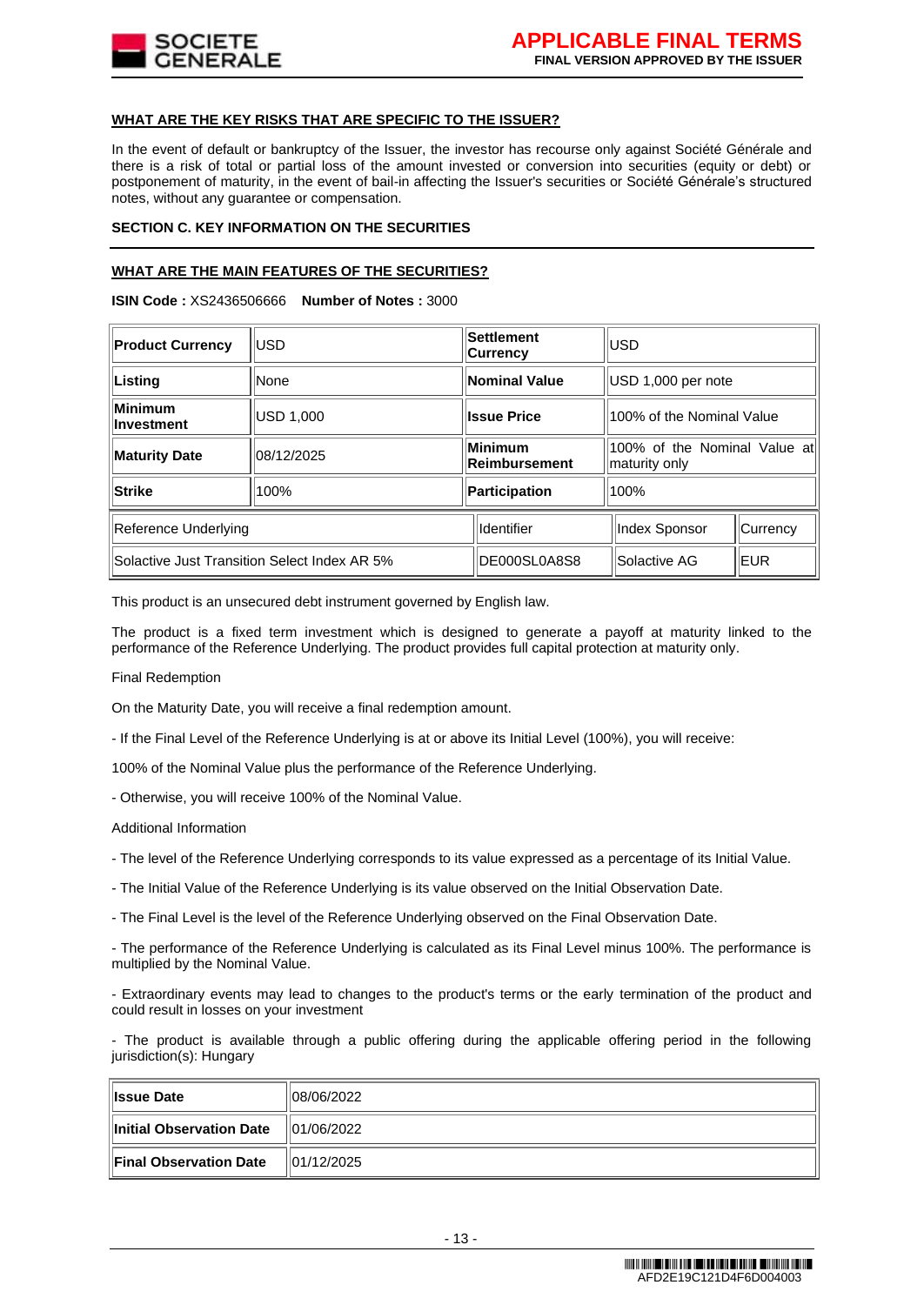

## **WHAT ARE THE KEY RISKS THAT ARE SPECIFIC TO THE ISSUER?**

In the event of default or bankruptcy of the Issuer, the investor has recourse only against Société Générale and there is a risk of total or partial loss of the amount invested or conversion into securities (equity or debt) or postponement of maturity, in the event of bail-in affecting the Issuer's securities or Société Générale's structured notes, without any guarantee or compensation.

## **SECTION C. KEY INFORMATION ON THE SECURITIES**

# **WHAT ARE THE MAIN FEATURES OF THE SECURITIES?**

**ISIN Code :** XS2436506666 **Number of Notes :** 3000

| <b>Product Currency</b>                                                      | lusd        | <b>Settlement</b><br>∣Currencv | lusd                                          |          |
|------------------------------------------------------------------------------|-------------|--------------------------------|-----------------------------------------------|----------|
| Listing                                                                      | <b>None</b> | Nominal Value                  | USD 1,000 per note                            |          |
| Minimum<br><b>Investment</b>                                                 | USD 1,000   | <b>Issue Price</b>             | 100% of the Nominal Value                     |          |
| Maturity Date                                                                | 08/12/2025  | Minimum<br>Reimbursement       | 100% of the Nominal Value at<br>maturity only |          |
| Strike                                                                       | 100%        | <b>Participation</b>           | 100%                                          |          |
| Reference Underlying                                                         |             | Identifier                     | Index Sponsor                                 | Currency |
| Solactive Just Transition Select Index AR 5%<br>DE000SL0A8S8<br>Solactive AG |             | <b>EUR</b>                     |                                               |          |

This product is an unsecured debt instrument governed by English law.

The product is a fixed term investment which is designed to generate a payoff at maturity linked to the performance of the Reference Underlying. The product provides full capital protection at maturity only.

Final Redemption

On the Maturity Date, you will receive a final redemption amount.

- If the Final Level of the Reference Underlying is at or above its Initial Level (100%), you will receive:

100% of the Nominal Value plus the performance of the Reference Underlying.

- Otherwise, you will receive 100% of the Nominal Value.

Additional Information

- The level of the Reference Underlying corresponds to its value expressed as a percentage of its Initial Value.

- The Initial Value of the Reference Underlying is its value observed on the Initial Observation Date.

- The Final Level is the level of the Reference Underlying observed on the Final Observation Date.

- The performance of the Reference Underlying is calculated as its Final Level minus 100%. The performance is multiplied by the Nominal Value.

- Extraordinary events may lead to changes to the product's terms or the early termination of the product and could result in losses on your investment

- The product is available through a public offering during the applicable offering period in the following jurisdiction(s): Hungary

| <b>Ilssue Date</b>                             | 108/06/2022 |
|------------------------------------------------|-------------|
| $\ $ Initial Observation Date $\ 01/06/2022\ $ |             |
| Final Observation Date                         | 01/12/2025  |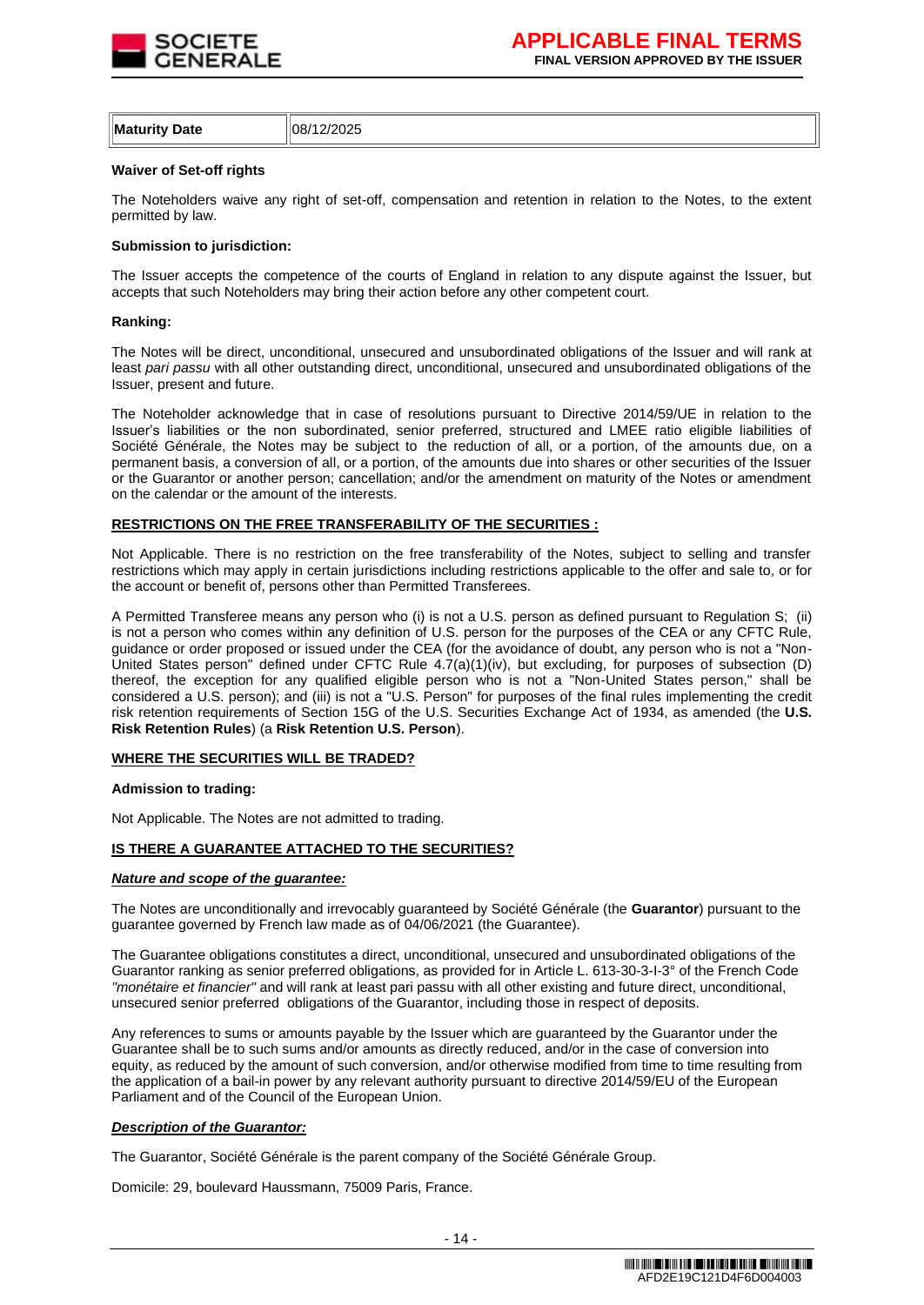

| <b>Maturity Date</b> | 108/12/2025 |
|----------------------|-------------|
|                      |             |

## **Waiver of Set-off rights**

The Noteholders waive any right of set-off, compensation and retention in relation to the Notes, to the extent permitted by law.

#### **Submission to jurisdiction:**

The Issuer accepts the competence of the courts of England in relation to any dispute against the Issuer, but accepts that such Noteholders may bring their action before any other competent court.

#### **Ranking:**

The Notes will be direct, unconditional, unsecured and unsubordinated obligations of the Issuer and will rank at least *pari passu* with all other outstanding direct, unconditional, unsecured and unsubordinated obligations of the Issuer, present and future.

The Noteholder acknowledge that in case of resolutions pursuant to Directive 2014/59/UE in relation to the Issuer's liabilities or the non subordinated, senior preferred, structured and LMEE ratio eligible liabilities of Société Générale, the Notes may be subject to the reduction of all, or a portion, of the amounts due, on a permanent basis, a conversion of all, or a portion, of the amounts due into shares or other securities of the Issuer or the Guarantor or another person; cancellation; and/or the amendment on maturity of the Notes or amendment on the calendar or the amount of the interests.

## **RESTRICTIONS ON THE FREE TRANSFERABILITY OF THE SECURITIES :**

Not Applicable. There is no restriction on the free transferability of the Notes, subject to selling and transfer restrictions which may apply in certain jurisdictions including restrictions applicable to the offer and sale to, or for the account or benefit of, persons other than Permitted Transferees.

A Permitted Transferee means any person who (i) is not a U.S. person as defined pursuant to Regulation S; (ii) is not a person who comes within any definition of U.S. person for the purposes of the CEA or any CFTC Rule, guidance or order proposed or issued under the CEA (for the avoidance of doubt, any person who is not a "Non-United States person" defined under CFTC Rule 4.7(a)(1)(iv), but excluding, for purposes of subsection (D) thereof, the exception for any qualified eligible person who is not a "Non-United States person," shall be considered a U.S. person); and (iii) is not a "U.S. Person" for purposes of the final rules implementing the credit risk retention requirements of Section 15G of the U.S. Securities Exchange Act of 1934, as amended (the **U.S. Risk Retention Rules**) (a **Risk Retention U.S. Person**).

#### **WHERE THE SECURITIES WILL BE TRADED?**

#### **Admission to trading:**

Not Applicable. The Notes are not admitted to trading.

## **IS THERE A GUARANTEE ATTACHED TO THE SECURITIES?**

#### *Nature and scope of the guarantee:*

The Notes are unconditionally and irrevocably guaranteed by Société Générale (the **Guarantor**) pursuant to the guarantee governed by French law made as of 04/06/2021 (the Guarantee).

The Guarantee obligations constitutes a direct, unconditional, unsecured and unsubordinated obligations of the Guarantor ranking as senior preferred obligations, as provided for in Article L. 613-30-3-I-3° of the French Code *"monétaire et financier"* and will rank at least pari passu with all other existing and future direct, unconditional, unsecured senior preferred obligations of the Guarantor, including those in respect of deposits.

Any references to sums or amounts payable by the Issuer which are guaranteed by the Guarantor under the Guarantee shall be to such sums and/or amounts as directly reduced, and/or in the case of conversion into equity, as reduced by the amount of such conversion, and/or otherwise modified from time to time resulting from the application of a bail-in power by any relevant authority pursuant to directive 2014/59/EU of the European Parliament and of the Council of the European Union.

## *Description of the Guarantor:*

The Guarantor, Société Générale is the parent company of the Société Générale Group.

Domicile: 29, boulevard Haussmann, 75009 Paris, France.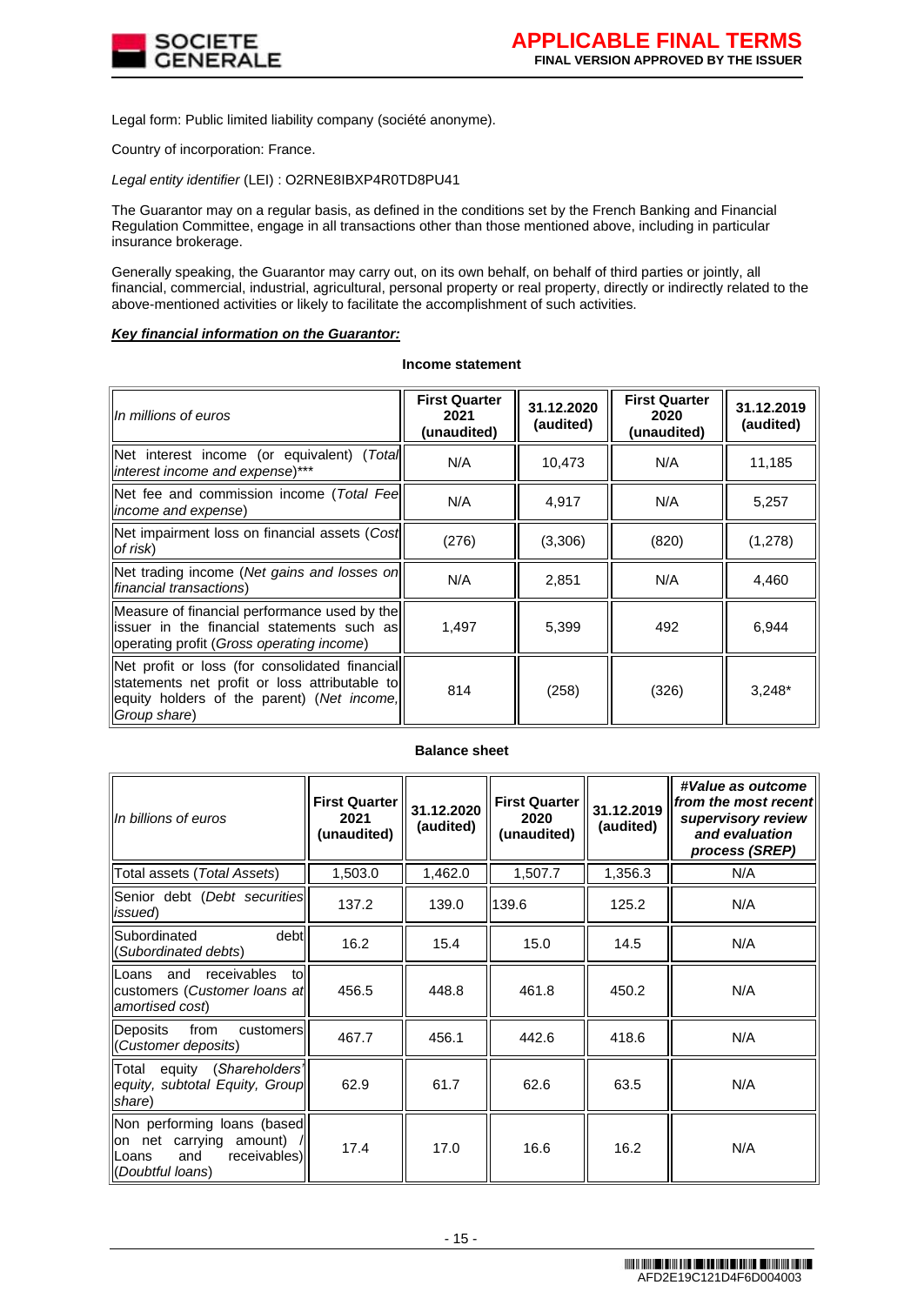

Legal form: Public limited liability company (société anonyme).

Country of incorporation: France.

*Legal entity identifier* (LEI) : O2RNE8IBXP4R0TD8PU41

The Guarantor may on a regular basis, as defined in the conditions set by the French Banking and Financial Regulation Committee, engage in all transactions other than those mentioned above, including in particular insurance brokerage.

Generally speaking, the Guarantor may carry out, on its own behalf, on behalf of third parties or jointly, all financial, commercial, industrial, agricultural, personal property or real property, directly or indirectly related to the above-mentioned activities or likely to facilitate the accomplishment of such activities.

## *Key financial information on the Guarantor:*

#### **Income statement**

| In millions of euros                                                                                                                                          | <b>First Quarter</b><br>2021<br>(unaudited) | 31.12.2020<br>(audited) | <b>First Quarter</b><br>2020<br>(unaudited) | 31.12.2019<br>(audited) |
|---------------------------------------------------------------------------------------------------------------------------------------------------------------|---------------------------------------------|-------------------------|---------------------------------------------|-------------------------|
| Net interest income (or equivalent) (Total)<br>interest income and expense)***                                                                                | N/A                                         | 10,473                  | N/A                                         | 11,185                  |
| Net fee and commission income (Total Feel)<br><i>income and expense</i> )                                                                                     | N/A                                         | 4,917                   | N/A                                         | 5,257                   |
| Net impairment loss on financial assets (Cost<br>of risk)                                                                                                     | (276)                                       | (3,306)                 | (820)                                       | (1,278)                 |
| Net trading income (Net gains and losses on<br>financial transactions)                                                                                        | N/A                                         | 2,851                   | N/A                                         | 4,460                   |
| Measure of financial performance used by the<br>issuer in the financial statements such as<br>operating profit (Gross operating income)                       | 1,497                                       | 5,399                   | 492                                         | 6,944                   |
| Net profit or loss (for consolidated financial<br>statements net profit or loss attributable to<br>equity holders of the parent) (Net income,<br>Group share) | 814                                         | (258)                   | (326)                                       | $3,248*$                |

## **Balance sheet**

| In billions of euros                                                                                       | <b>First Quarter</b><br>2021<br>(unaudited) | 31.12.2020<br>(audited) | <b>First Quarter</b><br>2020<br>(unaudited) | 31.12.2019<br>(audited) | #Value as outcome<br>from the most recent<br>supervisory review<br>and evaluation<br>process (SREP) |
|------------------------------------------------------------------------------------------------------------|---------------------------------------------|-------------------------|---------------------------------------------|-------------------------|-----------------------------------------------------------------------------------------------------|
| Total assets (Total Assets)                                                                                | 1,503.0                                     | 1,462.0                 | 1,507.7                                     | 1,356.3                 | N/A                                                                                                 |
| Senior debt (Debt securities<br>issued)                                                                    | 137.2                                       | 139.0                   | 139.6                                       | 125.2                   | N/A                                                                                                 |
| debt<br>Subordinated<br>(Subordinated debts)                                                               | 16.2                                        | 15.4                    | 15.0                                        | 14.5                    | N/A                                                                                                 |
| Loans and<br>receivables<br>tol<br>customers (Customer loans at<br>amortised cost)                         | 456.5                                       | 448.8                   | 461.8                                       | 450.2                   | N/A                                                                                                 |
| <b>Deposits</b><br>from<br>customers<br>(Customer deposits)                                                | 467.7                                       | 456.1                   | 442.6                                       | 418.6                   | N/A                                                                                                 |
| equity (Shareholders'<br>Total<br>equity, subtotal Equity, Group<br>share)                                 | 62.9                                        | 61.7                    | 62.6                                        | 63.5                    | N/A                                                                                                 |
| Non performing loans (based<br>on net carrying amount)<br>receivables)<br>and<br>Loans<br>(Doubtful loans) | 17.4                                        | 17.0                    | 16.6                                        | 16.2                    | N/A                                                                                                 |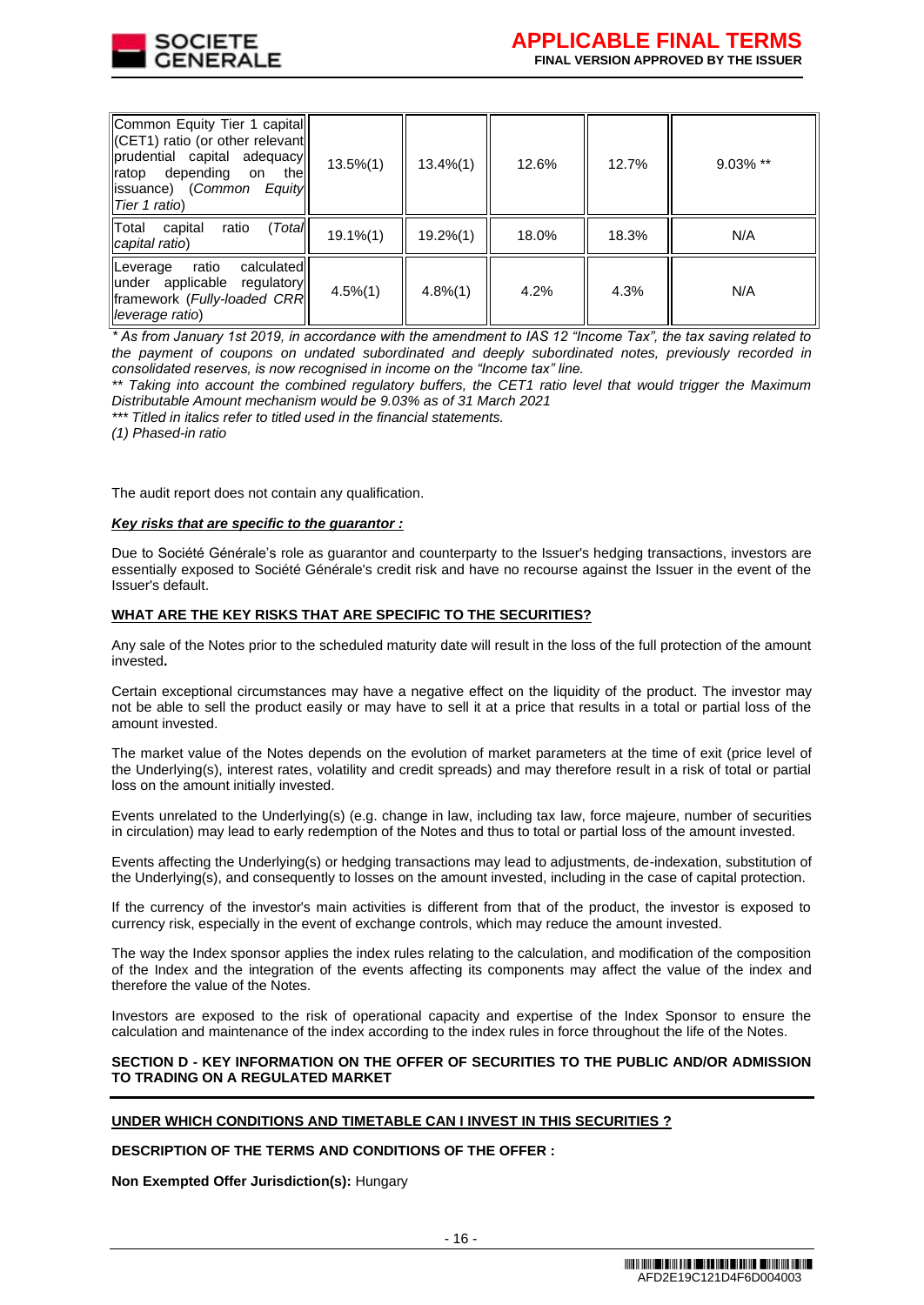

| Common Equity Tier 1 capital<br>CET1) ratio (or other relevant<br>prudential capital adequacy<br>ratop depending<br>thel<br>on on<br>llissuance) (Common Equityll<br>Tier 1 ratio) | $13.5\%(1)$ | $13.4\%(1)$ | 12.6% | 12.7% | $9.03\%$ ** |
|------------------------------------------------------------------------------------------------------------------------------------------------------------------------------------|-------------|-------------|-------|-------|-------------|
| Total<br>(Total<br>capital<br>ratio<br>capital ratio)                                                                                                                              | $19.1\%(1)$ | $19.2\%(1)$ | 18.0% | 18.3% | N/A         |
| Leverage<br>ratio<br>calculated<br>under applicable regulatory<br>llframework (Fully-loaded CRRII<br>lleverage ratio)                                                              | $4.5\%(1)$  | $4.8\%(1)$  | 4.2%  | 4.3%  | N/A         |

*\* As from January 1st 2019, in accordance with the amendment to IAS 12 "Income Tax", the tax saving related to the payment of coupons on undated subordinated and deeply subordinated notes, previously recorded in consolidated reserves, is now recognised in income on the "Income tax" line.*

*\*\* Taking into account the combined regulatory buffers, the CET1 ratio level that would trigger the Maximum Distributable Amount mechanism would be 9.03% as of 31 March 2021* 

*\*\*\* Titled in italics refer to titled used in the financial statements.*

*(1) Phased-in ratio* 

The audit report does not contain any qualification.

#### *Key risks that are specific to the guarantor :*

Due to Société Générale's role as guarantor and counterparty to the Issuer's hedging transactions, investors are essentially exposed to Société Générale's credit risk and have no recourse against the Issuer in the event of the Issuer's default.

#### **WHAT ARE THE KEY RISKS THAT ARE SPECIFIC TO THE SECURITIES?**

Any sale of the Notes prior to the scheduled maturity date will result in the loss of the full protection of the amount invested**.**

Certain exceptional circumstances may have a negative effect on the liquidity of the product. The investor may not be able to sell the product easily or may have to sell it at a price that results in a total or partial loss of the amount invested.

The market value of the Notes depends on the evolution of market parameters at the time of exit (price level of the Underlying(s), interest rates, volatility and credit spreads) and may therefore result in a risk of total or partial loss on the amount initially invested.

Events unrelated to the Underlying(s) (e.g. change in law, including tax law, force majeure, number of securities in circulation) may lead to early redemption of the Notes and thus to total or partial loss of the amount invested.

Events affecting the Underlying(s) or hedging transactions may lead to adjustments, de-indexation, substitution of the Underlying(s), and consequently to losses on the amount invested, including in the case of capital protection.

If the currency of the investor's main activities is different from that of the product, the investor is exposed to currency risk, especially in the event of exchange controls, which may reduce the amount invested.

The way the Index sponsor applies the index rules relating to the calculation, and modification of the composition of the Index and the integration of the events affecting its components may affect the value of the index and therefore the value of the Notes.

Investors are exposed to the risk of operational capacity and expertise of the Index Sponsor to ensure the calculation and maintenance of the index according to the index rules in force throughout the life of the Notes.

#### **SECTION D - KEY INFORMATION ON THE OFFER OF SECURITIES TO THE PUBLIC AND/OR ADMISSION TO TRADING ON A REGULATED MARKET**

#### **UNDER WHICH CONDITIONS AND TIMETABLE CAN I INVEST IN THIS SECURITIES ?**

## **DESCRIPTION OF THE TERMS AND CONDITIONS OF THE OFFER :**

**Non Exempted Offer Jurisdiction(s):** Hungary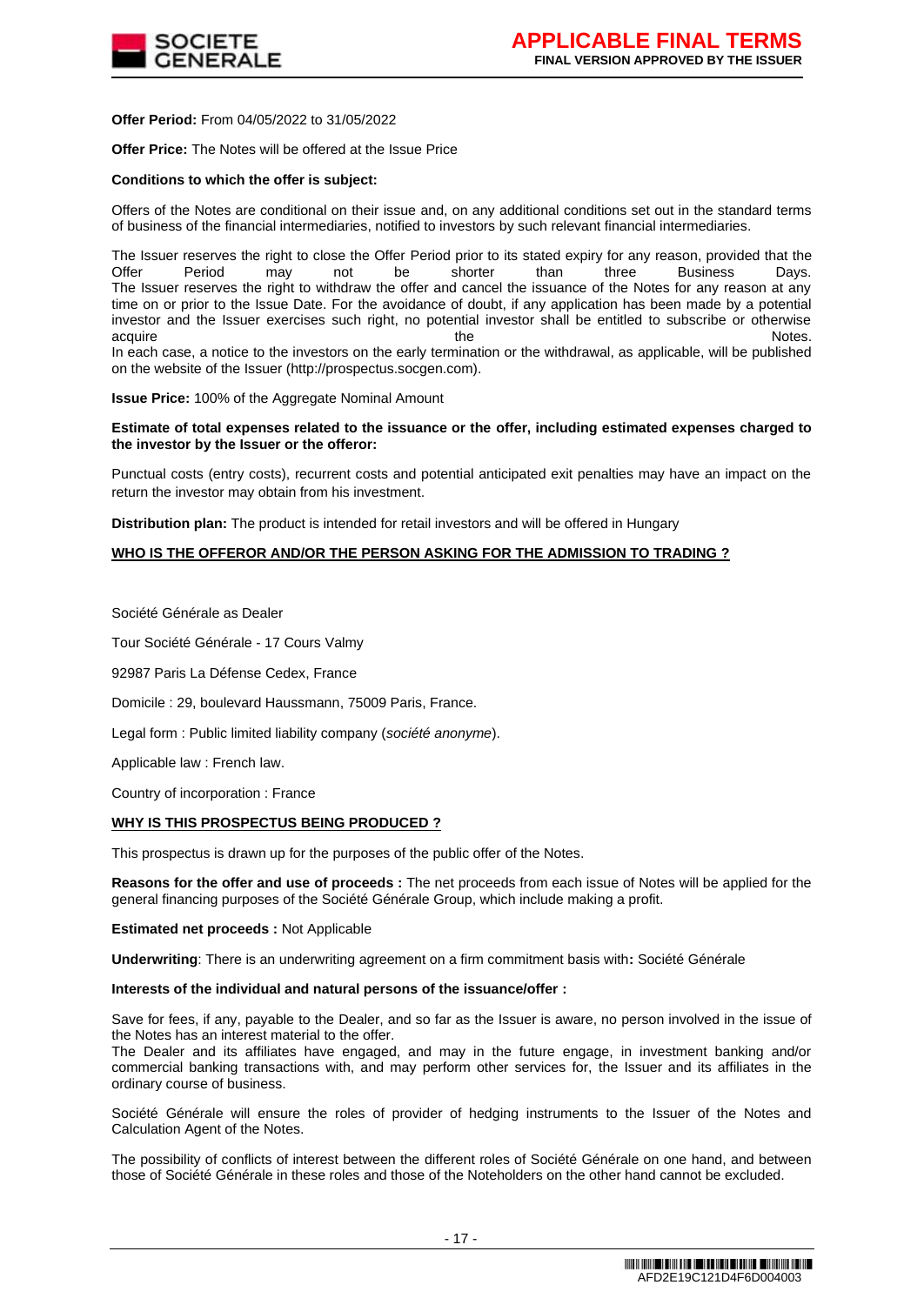

**Offer Period:** From 04/05/2022 to 31/05/2022

**Offer Price:** The Notes will be offered at the Issue Price

#### **Conditions to which the offer is subject:**

Offers of the Notes are conditional on their issue and, on any additional conditions set out in the standard terms of business of the financial intermediaries, notified to investors by such relevant financial intermediaries.

The Issuer reserves the right to close the Offer Period prior to its stated expiry for any reason, provided that the Offer Period and the Shorter than three Business Davs. Offer Period may not be shorter than three Business Days. The Issuer reserves the right to withdraw the offer and cancel the issuance of the Notes for any reason at any time on or prior to the Issue Date. For the avoidance of doubt, if any application has been made by a potential investor and the Issuer exercises such right, no potential investor shall be entitled to subscribe or otherwise acquire the Notes. The Notes are the Notes and the Notes are the Notes and the Notes are the Notes. In each case, a notice to the investors on the early termination or the withdrawal, as applicable, will be published on the website of the Issuer (http://prospectus.socgen.com).

**Issue Price:** 100% of the Aggregate Nominal Amount

#### **Estimate of total expenses related to the issuance or the offer, including estimated expenses charged to the investor by the Issuer or the offeror:**

Punctual costs (entry costs), recurrent costs and potential anticipated exit penalties may have an impact on the return the investor may obtain from his investment.

**Distribution plan:** The product is intended for retail investors and will be offered in Hungary

## **WHO IS THE OFFEROR AND/OR THE PERSON ASKING FOR THE ADMISSION TO TRADING ?**

Société Générale as Dealer

Tour Société Générale - 17 Cours Valmy

92987 Paris La Défense Cedex, France

Domicile : 29, boulevard Haussmann, 75009 Paris, France.

Legal form : Public limited liability company (*société anonyme*).

Applicable law : French law.

Country of incorporation : France

#### **WHY IS THIS PROSPECTUS BEING PRODUCED ?**

This prospectus is drawn up for the purposes of the public offer of the Notes.

**Reasons for the offer and use of proceeds :** The net proceeds from each issue of Notes will be applied for the general financing purposes of the Société Générale Group, which include making a profit.

**Estimated net proceeds :** Not Applicable

**Underwriting**: There is an underwriting agreement on a firm commitment basis with**:** Société Générale

#### **Interests of the individual and natural persons of the issuance/offer :**

Save for fees, if any, payable to the Dealer, and so far as the Issuer is aware, no person involved in the issue of the Notes has an interest material to the offer.

The Dealer and its affiliates have engaged, and may in the future engage, in investment banking and/or commercial banking transactions with, and may perform other services for, the Issuer and its affiliates in the ordinary course of business.

Société Générale will ensure the roles of provider of hedging instruments to the Issuer of the Notes and Calculation Agent of the Notes.

The possibility of conflicts of interest between the different roles of Société Générale on one hand, and between those of Société Générale in these roles and those of the Noteholders on the other hand cannot be excluded.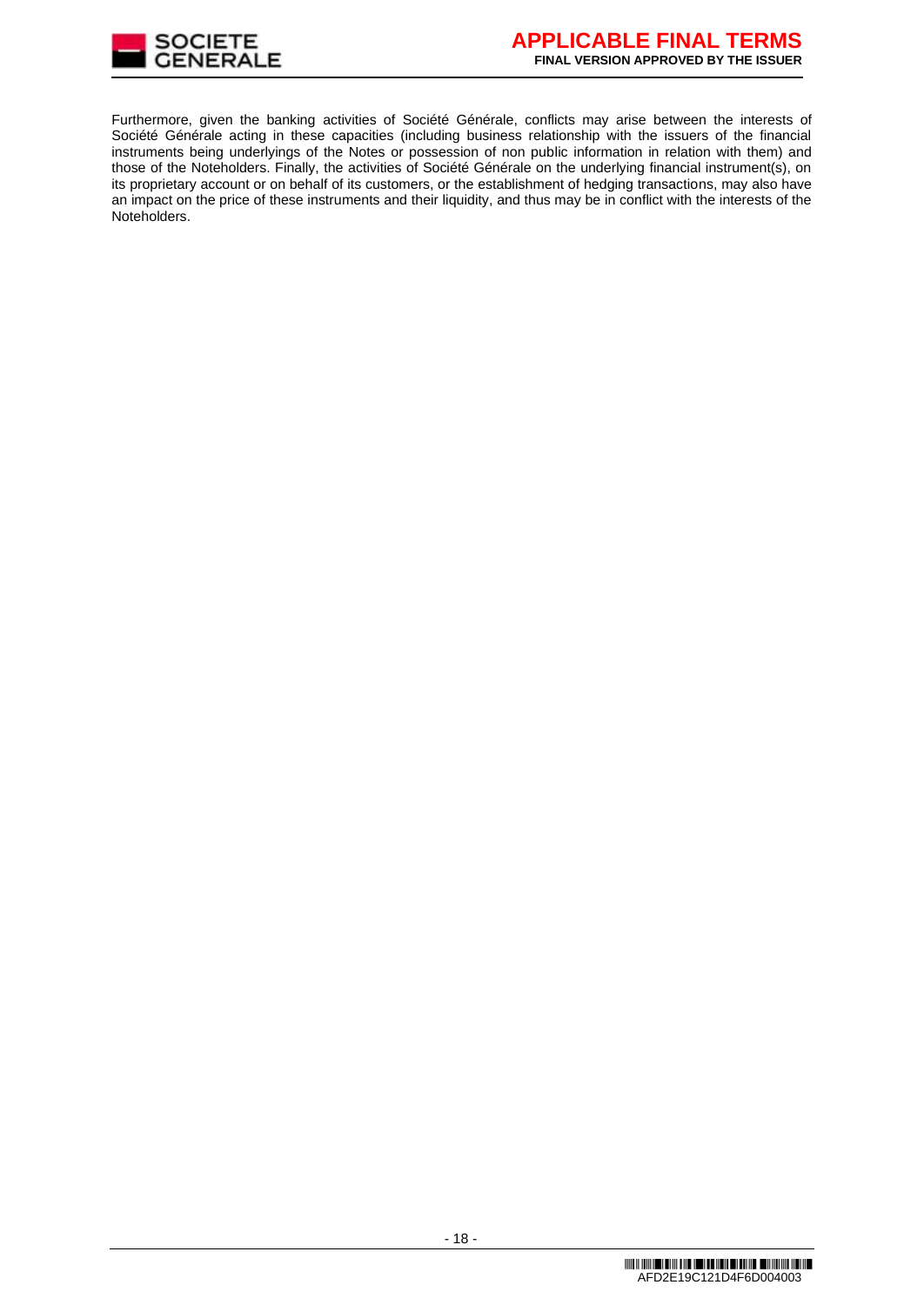

Furthermore, given the banking activities of Société Générale, conflicts may arise between the interests of Société Générale acting in these capacities (including business relationship with the issuers of the financial instruments being underlyings of the Notes or possession of non public information in relation with them) and those of the Noteholders. Finally, the activities of Société Générale on the underlying financial instrument(s), on its proprietary account or on behalf of its customers, or the establishment of hedging transactions, may also have an impact on the price of these instruments and their liquidity, and thus may be in conflict with the interests of the Noteholders.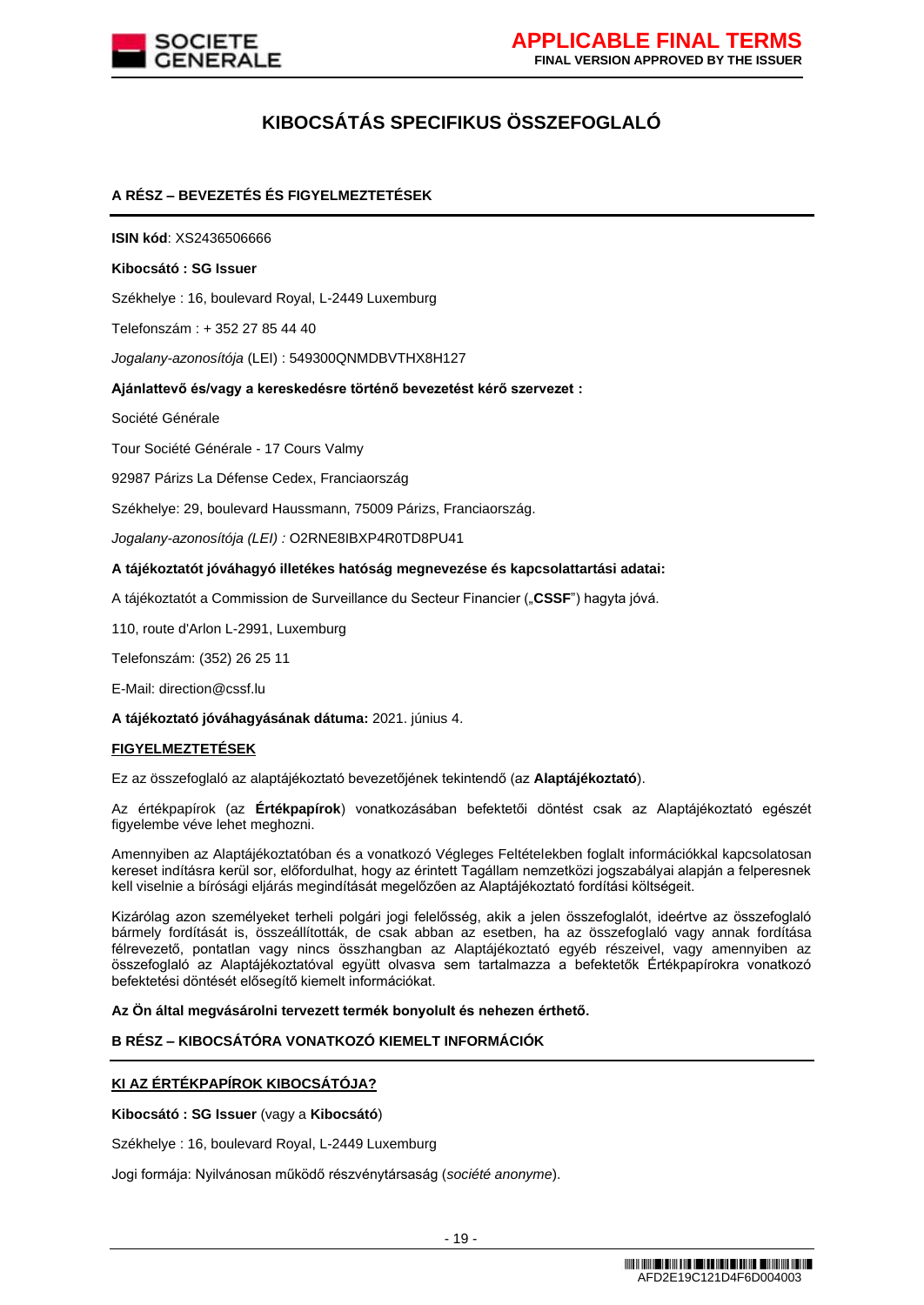

# **KIBOCSÁTÁS SPECIFIKUS ÖSSZEFOGLALÓ**

# **A RÉSZ – BEVEZETÉS ÉS FIGYELMEZTETÉSEK**

**ISIN kód**: XS2436506666

#### **Kibocsátó : SG Issuer**

Székhelye : 16, boulevard Royal, L-2449 Luxemburg

Telefonszám : + 352 27 85 44 40

*Jogalany-azonosítója* (LEI) : 549300QNMDBVTHX8H127

## **Ajánlattevő és/vagy a kereskedésre történő bevezetést kérő szervezet :**

Société Générale

Tour Société Générale - 17 Cours Valmy

92987 Párizs La Défense Cedex, Franciaország

Székhelye: 29, boulevard Haussmann, 75009 Párizs, Franciaország.

*Jogalany-azonosítója (LEI) :* O2RNE8IBXP4R0TD8PU41

#### **A tájékoztatót jóváhagyó illetékes hatóság megnevezése és kapcsolattartási adatai:**

A tájékoztatót a Commission de Surveillance du Secteur Financier ("**CSSF**") hagyta jóvá.

110, route d'Arlon L-2991, Luxemburg

Telefonszám: (352) 26 25 11

E-Mail: direction@cssf.lu

**A tájékoztató jóváhagyásának dátuma:** 2021. június 4.

#### **FIGYELMEZTETÉSEK**

Ez az összefoglaló az alaptájékoztató bevezetőjének tekintendő (az **Alaptájékoztató**).

Az értékpapírok (az **Értékpapírok**) vonatkozásában befektetői döntést csak az Alaptájékoztató egészét figyelembe véve lehet meghozni.

Amennyiben az Alaptájékoztatóban és a vonatkozó Végleges Feltételekben foglalt információkkal kapcsolatosan kereset indításra kerül sor, előfordulhat, hogy az érintett Tagállam nemzetközi jogszabályai alapján a felperesnek kell viselnie a bírósági eljárás megindítását megelőzően az Alaptájékoztató fordítási költségeit.

Kizárólag azon személyeket terheli polgári jogi felelősség, akik a jelen összefoglalót, ideértve az összefoglaló bármely fordítását is, összeállították, de csak abban az esetben, ha az összefoglaló vagy annak fordítása félrevezető, pontatlan vagy nincs összhangban az Alaptájékoztató egyéb részeivel, vagy amennyiben az összefoglaló az Alaptájékoztatóval együtt olvasva sem tartalmazza a befektetők Értékpapírokra vonatkozó befektetési döntését elősegítő kiemelt információkat.

## **Az Ön által megvásárolni tervezett termék bonyolult és nehezen érthető.**

#### **B RÉSZ – KIBOCSÁTÓRA VONATKOZÓ KIEMELT INFORMÁCIÓK**

## **KI AZ ÉRTÉKPAPÍROK KIBOCSÁTÓJA?**

**Kibocsátó : SG Issuer** (vagy a **Kibocsátó**)

Székhelye : 16, boulevard Royal, L-2449 Luxemburg

Jogi formája: Nyilvánosan működő részvénytársaság (*société anonyme*).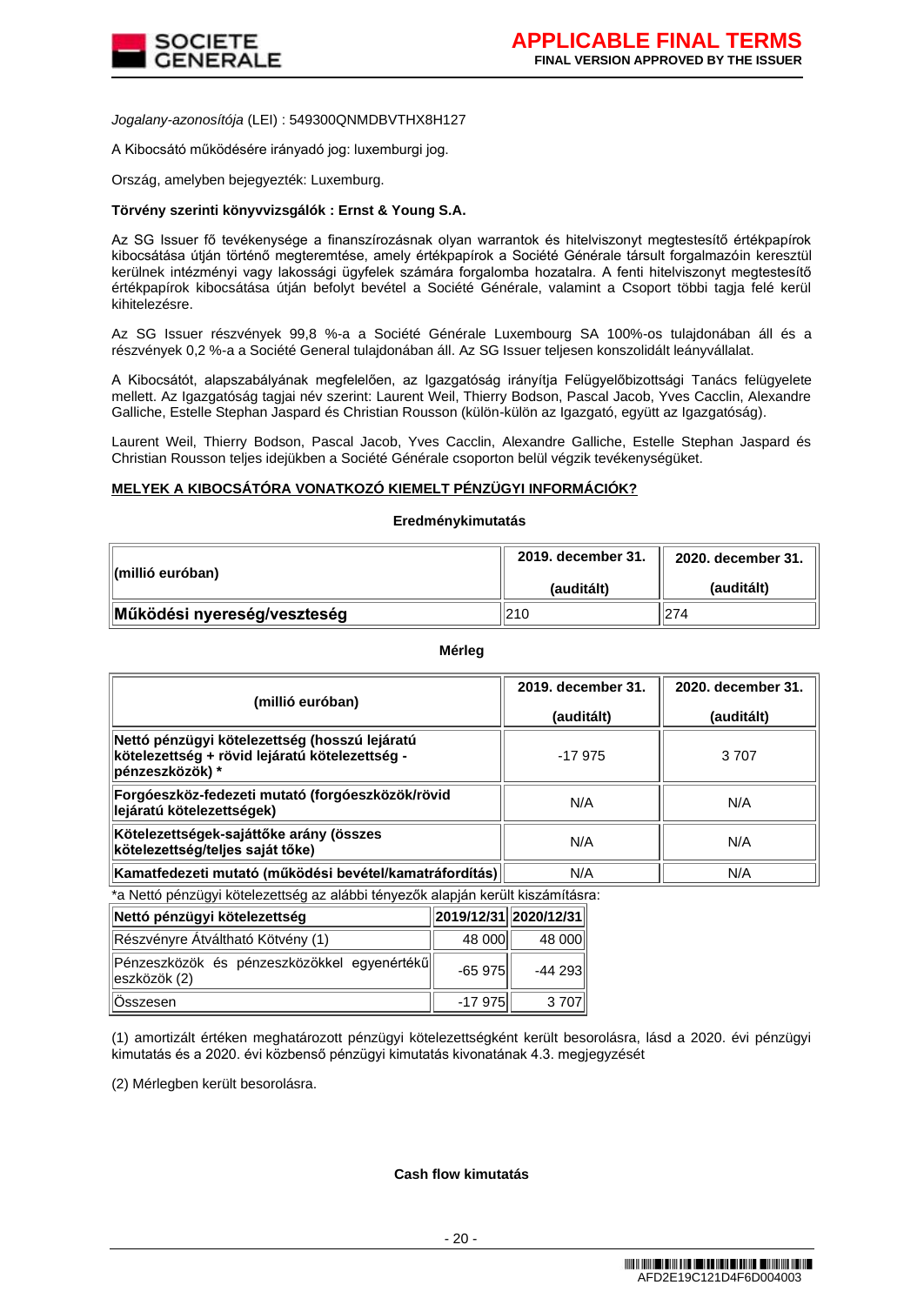

*Jogalany-azonosítója* (LEI) : 549300QNMDBVTHX8H127

A Kibocsátó működésére irányadó jog: luxemburgi jog.

Ország, amelyben bejegyezték: Luxemburg.

## **Törvény szerinti könyvvizsgálók : Ernst & Young S.A.**

Az SG Issuer fő tevékenysége a finanszírozásnak olyan warrantok és hitelviszonyt megtestesítő értékpapírok kibocsátása útján történő megteremtése, amely értékpapírok a Société Générale társult forgalmazóin keresztül kerülnek intézményi vagy lakossági ügyfelek számára forgalomba hozatalra. A fenti hitelviszonyt megtestesítő értékpapírok kibocsátása útján befolyt bevétel a Société Générale, valamint a Csoport többi tagja felé kerül kihitelezésre.

Az SG Issuer részvények 99,8 %-a a Société Générale Luxembourg SA 100%-os tulajdonában áll és a részvények 0,2 %-a a Société General tulajdonában áll. Az SG Issuer teljesen konszolidált leányvállalat.

A Kibocsátót, alapszabályának megfelelően, az Igazgatóság irányítja Felügyelőbizottsági Tanács felügyelete mellett. Az Igazgatóság tagjai név szerint: Laurent Weil, Thierry Bodson, Pascal Jacob, Yves Cacclin, Alexandre Galliche, Estelle Stephan Jaspard és Christian Rousson (külön-külön az Igazgató, együtt az Igazgatóság).

Laurent Weil, Thierry Bodson, Pascal Jacob, Yves Cacclin, Alexandre Galliche, Estelle Stephan Jaspard és Christian Rousson teljes idejükben a Société Générale csoporton belül végzik tevékenységüket.

## **MELYEK A KIBOCSÁTÓRA VONATKOZÓ KIEMELT PÉNZÜGYI INFORMÁCIÓK?**

#### **Eredménykimutatás**

| ∥(millió euróban)           | 2019. december 31.    2020. december 31. |            |
|-----------------------------|------------------------------------------|------------|
|                             | (auditált)                               | (auditált) |
| Működési nyereség/veszteség | 1210                                     | 274        |

**Mérleg**

| (millió euróban)                                                                                                    | 2019. december 31. | 2020. december 31. |  |
|---------------------------------------------------------------------------------------------------------------------|--------------------|--------------------|--|
|                                                                                                                     | (auditált)         | (auditált)         |  |
| Nettó pénzügyi kötelezettség (hosszú lejáratú<br>kötelezettség + rövid lejáratú kötelezettség -<br>∣pénzeszközök) * | $-17975$           | 3707               |  |
| Forgóeszköz-fedezeti mutató (forgóeszközök/rövid<br>lejáratú kötelezettségek)                                       | N/A                | N/A                |  |
| Kötelezettségek-sajáttőke arány (összes<br>kötelezettség/teljes saját tőke)                                         | N/A                | N/A                |  |
| Kamatfedezeti mutató (működési bevétel/kamatráfordítás)                                                             | N/A                | N/A                |  |

\*a Nettó pénzügyi kötelezettség az alábbi tényezők alapján került kiszámításra:

| Nettó pénzügyi kötelezettség                                 | 2019/12/31  2020/12/31 |         |
|--------------------------------------------------------------|------------------------|---------|
| Részvényre Átváltható Kötvény (1)                            | 48 000                 | 48 000  |
| Pénzeszközök és pénzeszközökkel egyenértékű<br>∥eszközök (2) | $-65975$               | -44 293 |
| ∥Összesen                                                    | -17 975                | 3707    |

(1) amortizált értéken meghatározott pénzügyi kötelezettségként került besorolásra, lásd a 2020. évi pénzügyi kimutatás és a 2020. évi közbenső pénzügyi kimutatás kivonatának 4.3. megjegyzését

(2) Mérlegben került besorolásra.

**Cash flow kimutatás**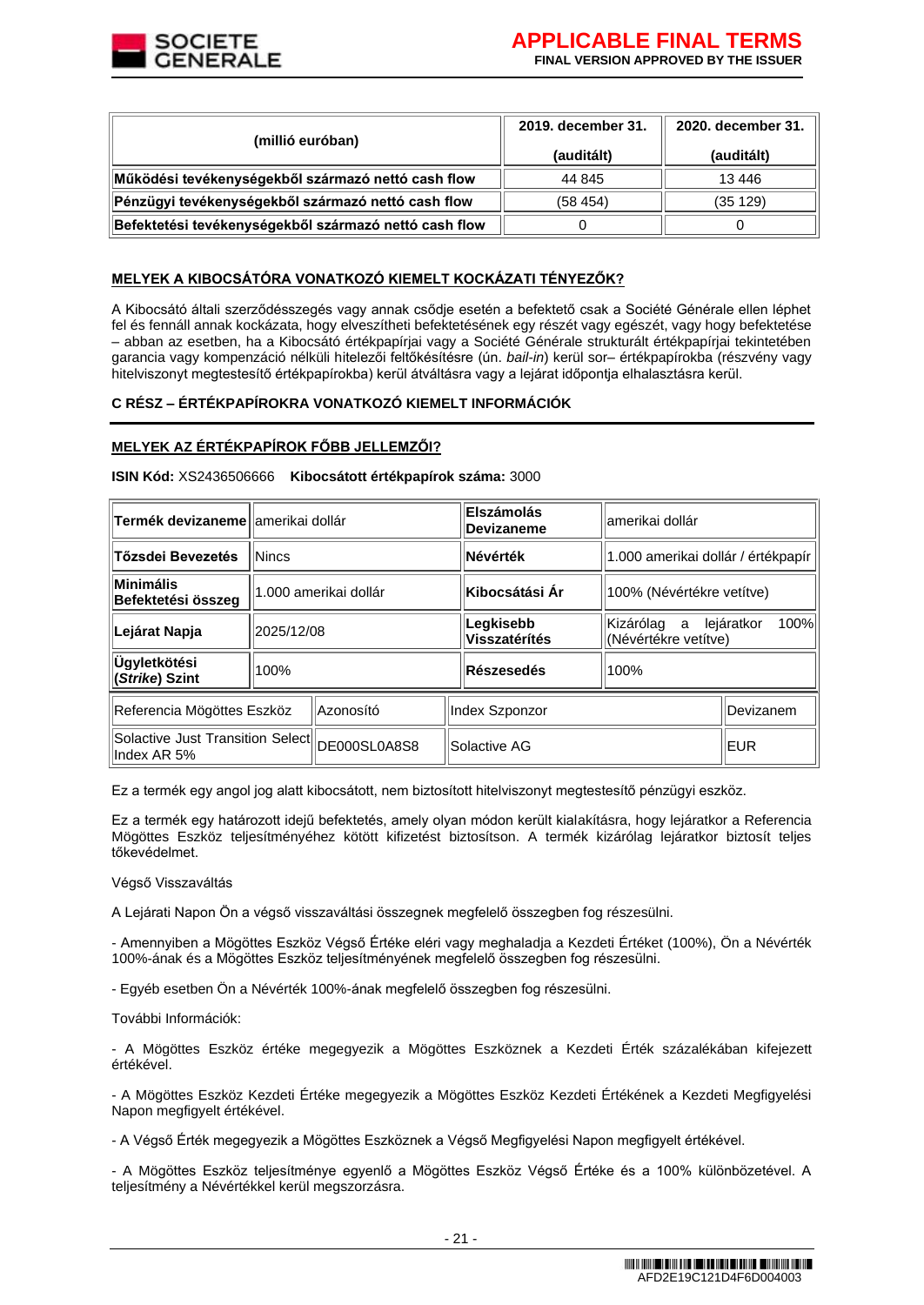

| (millió euróban)                                      | 2019. december 31. | 2020. december 31. |  |
|-------------------------------------------------------|--------------------|--------------------|--|
|                                                       | (auditált)         | (auditált)         |  |
| Működési tevékenységekből származó nettó cash flow    | 44 845             | 13446              |  |
| Pénzügyi tevékenységekből származó nettó cash flow    | (58454)            | (35 129)           |  |
| Befektetési tevékenységekből származó nettó cash flow |                    |                    |  |

# **MELYEK A KIBOCSÁTÓRA VONATKOZÓ KIEMELT KOCKÁZATI TÉNYEZŐK?**

A Kibocsátó általi szerződésszegés vagy annak csődje esetén a befektető csak a Société Générale ellen léphet fel és fennáll annak kockázata, hogy elveszítheti befektetésének egy részét vagy egészét, vagy hogy befektetése – abban az esetben, ha a Kibocsátó értékpapírjai vagy a Société Générale strukturált értékpapírjai tekintetében garancia vagy kompenzáció nélküli hitelezői feltőkésítésre (ún. *bail-in*) kerül sor– értékpapírokba (részvény vagy hitelviszonyt megtestesítő értékpapírokba) kerül átváltásra vagy a lejárat időpontja elhalasztásra kerül.

## **C RÉSZ – ÉRTÉKPAPÍROKRA VONATKOZÓ KIEMELT INFORMÁCIÓK**

## **MELYEK AZ ÉRTÉKPAPÍROK FŐBB JELLEMZŐI?**

**ISIN Kód:** XS2436506666 **Kibocsátott értékpapírok száma:** 3000

| <b>Termék devizaneme lamerikai dollár</b>                     |                        |           | Elszámolás<br><b>Devizaneme</b> | lamerikai dollár                                             |  |           |
|---------------------------------------------------------------|------------------------|-----------|---------------------------------|--------------------------------------------------------------|--|-----------|
| Tőzsdei Bevezetés                                             | <b>INincs</b>          |           | Névérték                        | 1.000 amerikai dollár / értékpapír                           |  |           |
| <b>Minimális</b><br>Befektetési összeg                        | 11.000 amerikai dollár |           | ∣Kibocsátási Ár                 | 100% (Névértékre vetítve)                                    |  |           |
| Lejárat Napja                                                 | 2025/12/08             |           | Legkisebb<br>Visszatérítés      | 100%<br>Kizárólag<br>lejáratkor<br>a<br>(Névértékre vetítve) |  |           |
| Ügyletkötési<br>(Strike) Szint                                | 100%                   |           | Részesedés                      | 100%                                                         |  |           |
| Referencia Mögöttes Eszköz                                    |                        | Azonosító |                                 | Index Szponzor                                               |  | Devizanem |
| Solactive Just Transition Select  DE000SL0A8S8<br>Index AR 5% |                        |           |                                 | Solactive AG                                                 |  | EUR       |

Ez a termék egy angol jog alatt kibocsátott, nem biztosított hitelviszonyt megtestesítő pénzügyi eszköz.

Ez a termék egy határozott idejű befektetés, amely olyan módon került kialakításra, hogy lejáratkor a Referencia Mögöttes Eszköz teljesítményéhez kötött kifizetést biztosítson. A termék kizárólag lejáratkor biztosít teljes tőkevédelmet.

Végső Visszaváltás

A Lejárati Napon Ön a végső visszaváltási összegnek megfelelő összegben fog részesülni.

- Amennyiben a Mögöttes Eszköz Végső Értéke eléri vagy meghaladja a Kezdeti Értéket (100%), Ön a Névérték 100%-ának és a Mögöttes Eszköz teljesítményének megfelelő összegben fog részesülni.

- Egyéb esetben Ön a Névérték 100%-ának megfelelő összegben fog részesülni.

További Információk:

- A Mögöttes Eszköz értéke megegyezik a Mögöttes Eszköznek a Kezdeti Érték százalékában kifejezett értékével.

- A Mögöttes Eszköz Kezdeti Értéke megegyezik a Mögöttes Eszköz Kezdeti Értékének a Kezdeti Megfigyelési Napon megfigyelt értékével.

- A Végső Érték megegyezik a Mögöttes Eszköznek a Végső Megfigyelési Napon megfigyelt értékével.

- A Mögöttes Eszköz teljesítménye egyenlő a Mögöttes Eszköz Végső Értéke és a 100% különbözetével. A teljesítmény a Névértékkel kerül megszorzásra.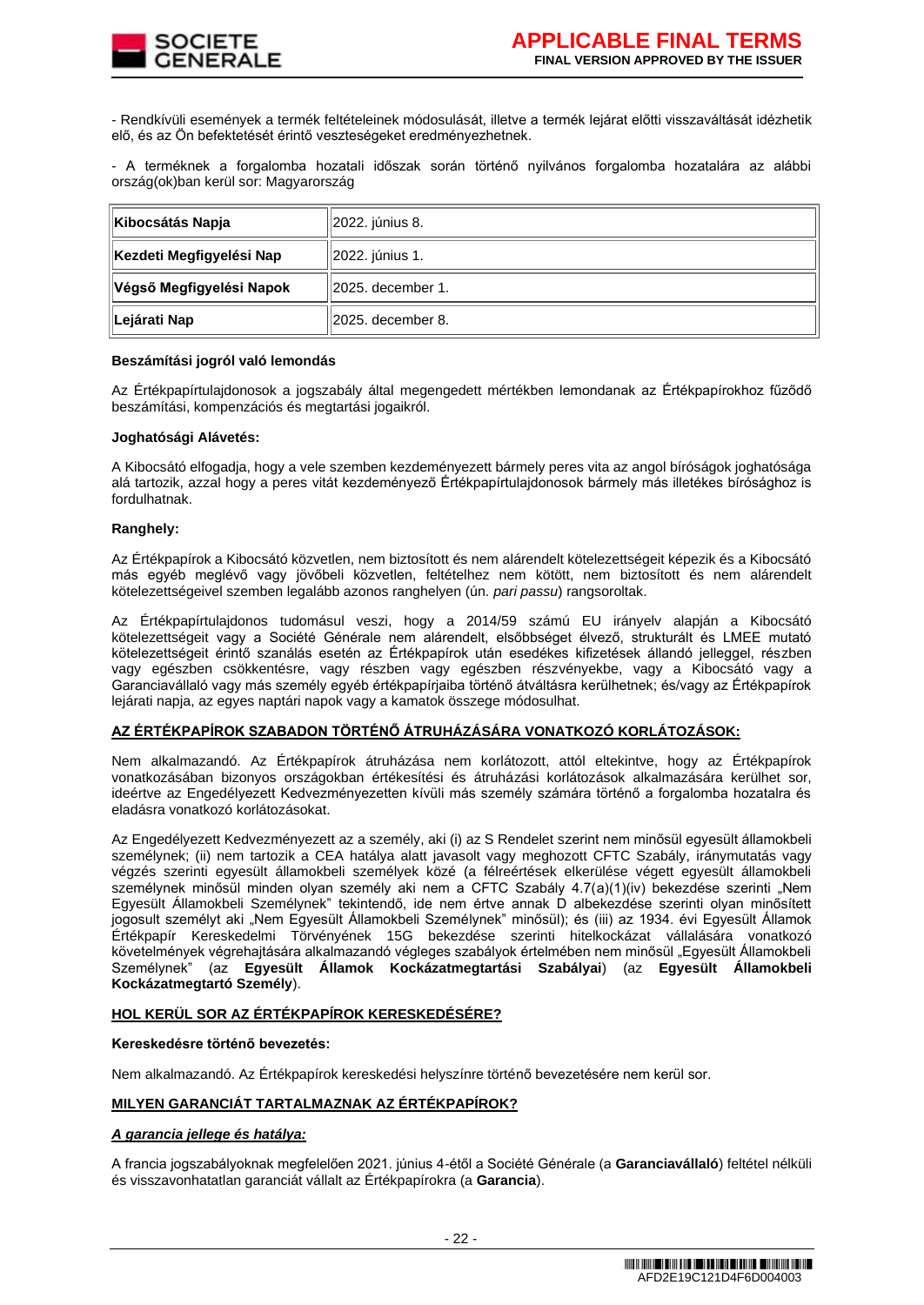

- Rendkívüli események a termék feltételeinek módosulását, illetve a termék lejárat előtti visszaváltását idézhetik elő, és az Ön befektetését érintő veszteségeket eredményezhetnek.

- A terméknek a forgalomba hozatali időszak során történő nyilvános forgalomba hozatalára az alábbi ország(ok)ban kerül sor: Magyarország

| Kibocsátás Napja          | 2022. június 8.     |
|---------------------------|---------------------|
| ∥Kezdeti Megfigyelési Nap | 2022. június 1.     |
| ∥Végső Megfigyelési Napok | ll2025. december 1. |
| ∥Lejárati Nap             | ll2025. december 8. |

#### **Beszámítási jogról való lemondás**

Az Értékpapírtulajdonosok a jogszabály által megengedett mértékben lemondanak az Értékpapírokhoz fűződő beszámítási, kompenzációs és megtartási jogaikról.

#### **Joghatósági Alávetés:**

A Kibocsátó elfogadja, hogy a vele szemben kezdeményezett bármely peres vita az angol bíróságok joghatósága alá tartozik, azzal hogy a peres vitát kezdeményező Értékpapírtulajdonosok bármely más illetékes bírósághoz is fordulhatnak.

#### **Ranghely:**

Az Értékpapírok a Kibocsátó közvetlen, nem biztosított és nem alárendelt kötelezettségeit képezik és a Kibocsátó más egyéb meglévő vagy jövőbeli közvetlen, feltételhez nem kötött, nem biztosított és nem alárendelt kötelezettségeivel szemben legalább azonos ranghelyen (ún. *pari passu*) rangsoroltak.

Az Értékpapírtulajdonos tudomásul veszi, hogy a 2014/59 számú EU irányelv alapján a Kibocsátó kötelezettségeit vagy a Société Générale nem alárendelt, elsőbbséget élvező, strukturált és LMEE mutató kötelezettségeit érintő szanálás esetén az Értékpapírok után esedékes kifizetések állandó jelleggel, részben vagy egészben csökkentésre, vagy részben vagy egészben részvényekbe, vagy a Kibocsátó vagy a Garanciavállaló vagy más személy egyéb értékpapírjaiba történő átváltásra kerülhetnek; és/vagy az Értékpapírok lejárati napja, az egyes naptári napok vagy a kamatok összege módosulhat.

## **AZ ÉRTÉKPAPÍROK SZABADON TÖRTÉNŐ ÁTRUHÁZÁSÁRA VONATKOZÓ KORLÁTOZÁSOK:**

Nem alkalmazandó. Az Értékpapírok átruházása nem korlátozott, attól eltekintve, hogy az Értékpapírok vonatkozásában bizonyos országokban értékesítési és átruházási korlátozások alkalmazására kerülhet sor, ideértve az Engedélyezett Kedvezményezetten kívüli más személy számára történő a forgalomba hozatalra és eladásra vonatkozó korlátozásokat.

Az Engedélyezett Kedvezményezett az a személy, aki (i) az S Rendelet szerint nem minősül egyesült államokbeli személynek; (ii) nem tartozik a CEA hatálya alatt javasolt vagy meghozott CFTC Szabály, iránymutatás vagy végzés szerinti egyesült államokbeli személyek közé (a félreértések elkerülése végett egyesült államokbeli személynek minősül minden olyan személy aki nem a CFTC Szabály 4.7(a)(1)(iv) bekezdése szerinti "Nem Egyesült Államokbeli Személynek" tekintendő, ide nem értve annak D albekezdése szerinti olyan minősített jogosult személyt aki "Nem Egyesült Államokbeli Személynek" minősül); és (iii) az 1934. évi Egyesült Államok Értékpapír Kereskedelmi Törvényének 15G bekezdése szerinti hitelkockázat vállalására vonatkozó követelmények végrehajtására alkalmazandó végleges szabályok értelmében nem minősül "Egyesült Államokbeli Személynek" (az **Egyesült Államok Kockázatmegtartási Szabályai**) (az **Egyesült Államokbeli Kockázatmegtartó Személy**).

## **HOL KERÜL SOR AZ ÉRTÉKPAPÍROK KERESKEDÉSÉRE?**

## **Kereskedésre történő bevezetés:**

Nem alkalmazandó. Az Értékpapírok kereskedési helyszínre történő bevezetésére nem kerül sor.

#### **MILYEN GARANCIÁT TARTALMAZNAK AZ ÉRTÉKPAPÍROK?**

#### *A garancia jellege és hatálya:*

A francia jogszabályoknak megfelelően 2021. június 4-étől a Société Générale (a **Garanciavállaló**) feltétel nélküli és visszavonhatatlan garanciát vállalt az Értékpapírokra (a **Garancia**).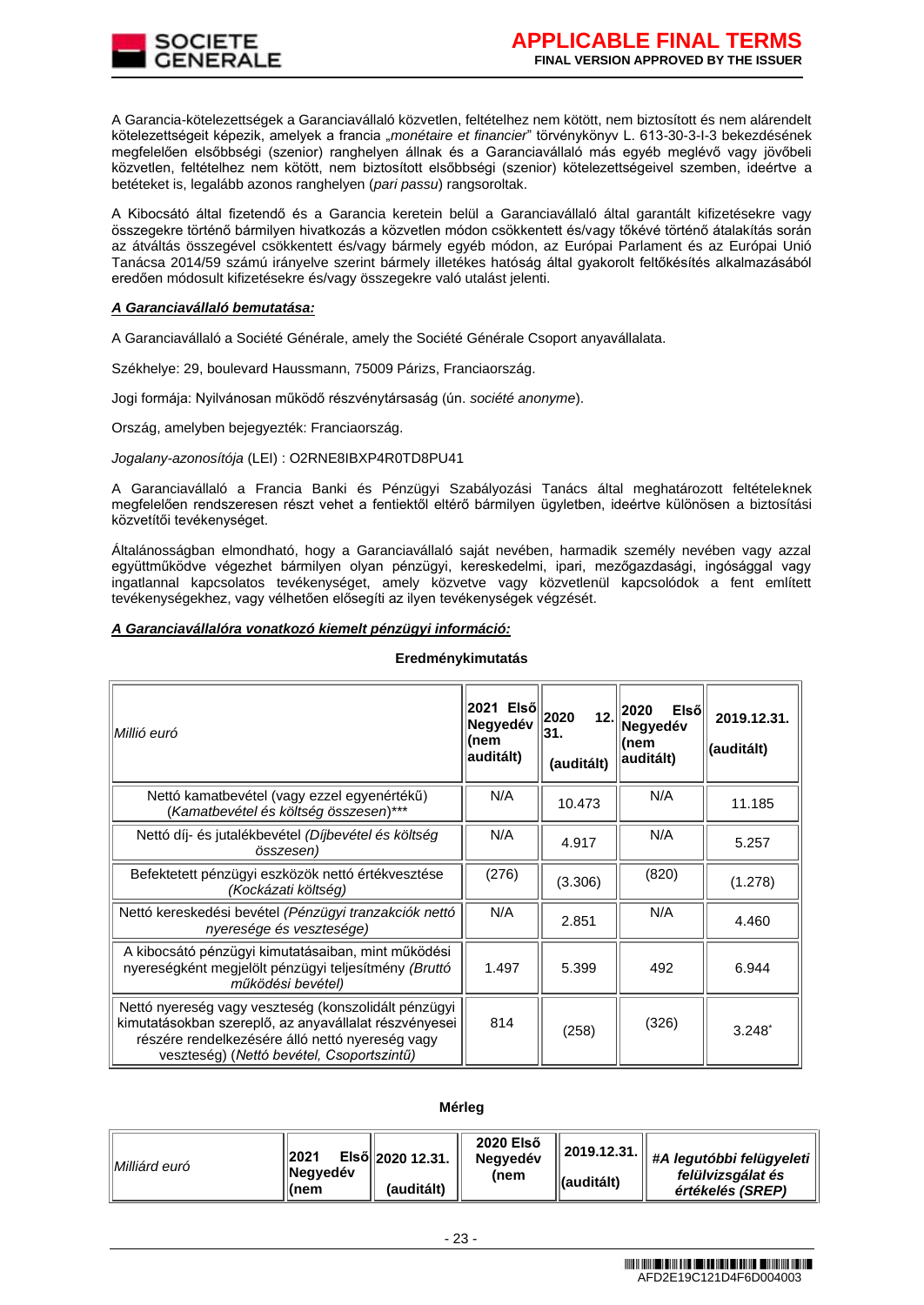A Garancia-kötelezettségek a Garanciavállaló közvetlen, feltételhez nem kötött, nem biztosított és nem alárendelt kötelezettségeit képezik, amelyek a francia "*monétaire et financier*" törvénykönyv L. 613-30-3-I-3 bekezdésének megfelelően elsőbbségi (szenior) ranghelyen állnak és a Garanciavállaló más egyéb meglévő vagy jövőbeli közvetlen, feltételhez nem kötött, nem biztosított elsőbbségi (szenior) kötelezettségeivel szemben, ideértve a betéteket is, legalább azonos ranghelyen (*pari passu*) rangsoroltak.

A Kibocsátó által fizetendő és a Garancia keretein belül a Garanciavállaló által garantált kifizetésekre vagy összegekre történő bármilyen hivatkozás a közvetlen módon csökkentett és/vagy tőkévé történő átalakítás során az átváltás összegével csökkentett és/vagy bármely egyéb módon, az Európai Parlament és az Európai Unió Tanácsa 2014/59 számú irányelve szerint bármely illetékes hatóság által gyakorolt feltőkésítés alkalmazásából eredően módosult kifizetésekre és/vagy összegekre való utalást jelenti.

## *A Garanciavállaló bemutatása:*

A Garanciavállaló a Société Générale, amely the Société Générale Csoport anyavállalata.

Székhelye: 29, boulevard Haussmann, 75009 Párizs, Franciaország.

Jogi formája: Nyilvánosan működő részvénytársaság (ún. *société anonyme*).

Ország, amelyben bejegyezték: Franciaország.

## *Jogalany-azonosítója* (LEI) : O2RNE8IBXP4R0TD8PU41

A Garanciavállaló a Francia Banki és Pénzügyi Szabályozási Tanács által meghatározott feltételeknek megfelelően rendszeresen részt vehet a fentiektől eltérő bármilyen ügyletben, ideértve különösen a biztosítási közvetítői tevékenységet.

Általánosságban elmondható, hogy a Garanciavállaló saját nevében, harmadik személy nevében vagy azzal együttműködve végezhet bármilyen olyan pénzügyi, kereskedelmi, ipari, mezőgazdasági, ingósággal vagy ingatlannal kapcsolatos tevékenységet, amely közvetve vagy közvetlenül kapcsolódok a fent említett tevékenységekhez, vagy vélhetően elősegíti az ilyen tevékenységek végzését.

## *A Garanciavállalóra vonatkozó kiemelt pénzügyi információ:*

| Millió euró                                                                                                                                                                                                   | 2021 Elsől<br>Negyedév<br>(nem<br>auditált) | 12.<br>2020<br>31.<br>(auditált) | Elsől<br>2020<br>Negyedév<br>(nem<br>auditált) | 2019.12.31.<br>(auditált) |
|---------------------------------------------------------------------------------------------------------------------------------------------------------------------------------------------------------------|---------------------------------------------|----------------------------------|------------------------------------------------|---------------------------|
| Nettó kamatbevétel (vagy ezzel egyenértékű)<br>(Kamatbevétel és költség összesen)***                                                                                                                          | N/A                                         | 10.473                           | N/A                                            | 11.185                    |
| Nettó díj- és jutalékbevétel (Díjbevétel és költség<br>összesen)                                                                                                                                              | N/A                                         | 4.917                            | N/A                                            | 5.257                     |
| Befektetett pénzügyi eszközök nettó értékvesztése<br>(Kockázati költség)                                                                                                                                      | (276)                                       | (3.306)                          | (820)                                          | (1.278)                   |
| Nettó kereskedési bevétel (Pénzügyi tranzakciók nettó<br>nyeresége és vesztesége)                                                                                                                             | N/A                                         | 2.851                            | N/A                                            | 4.460                     |
| A kibocsátó pénzügyi kimutatásaiban, mint működési<br>nyereségként megjelölt pénzügyi teljesítmény (Bruttó<br>működési bevétel)                                                                               | 1.497                                       | 5.399                            | 492                                            | 6.944                     |
| Nettó nyereség vagy veszteség (konszolidált pénzügyi<br>kimutatásokban szereplő, az anyavállalat részvényesei<br>részére rendelkezésére álló nettó nyereség vagy<br>veszteség) (Nettó bevétel, Csoportszintű) | 814                                         | (258)                            | (326)                                          | $3.248^*$                 |

## **Eredménykimutatás**

#### **Mérleg**

| Milliárd euró | 2021<br>Negyedév<br>∣(nem | Első 2020 12.31.<br>(auditált) | 2020 Első<br><b>Negvedév</b><br>(nem | 2019.12.31.<br><b>(auditált)</b> | #A legutóbbi felügyeleti<br>felülvizsgálat és<br>értékelés (SREP) |
|---------------|---------------------------|--------------------------------|--------------------------------------|----------------------------------|-------------------------------------------------------------------|
|               |                           |                                |                                      |                                  |                                                                   |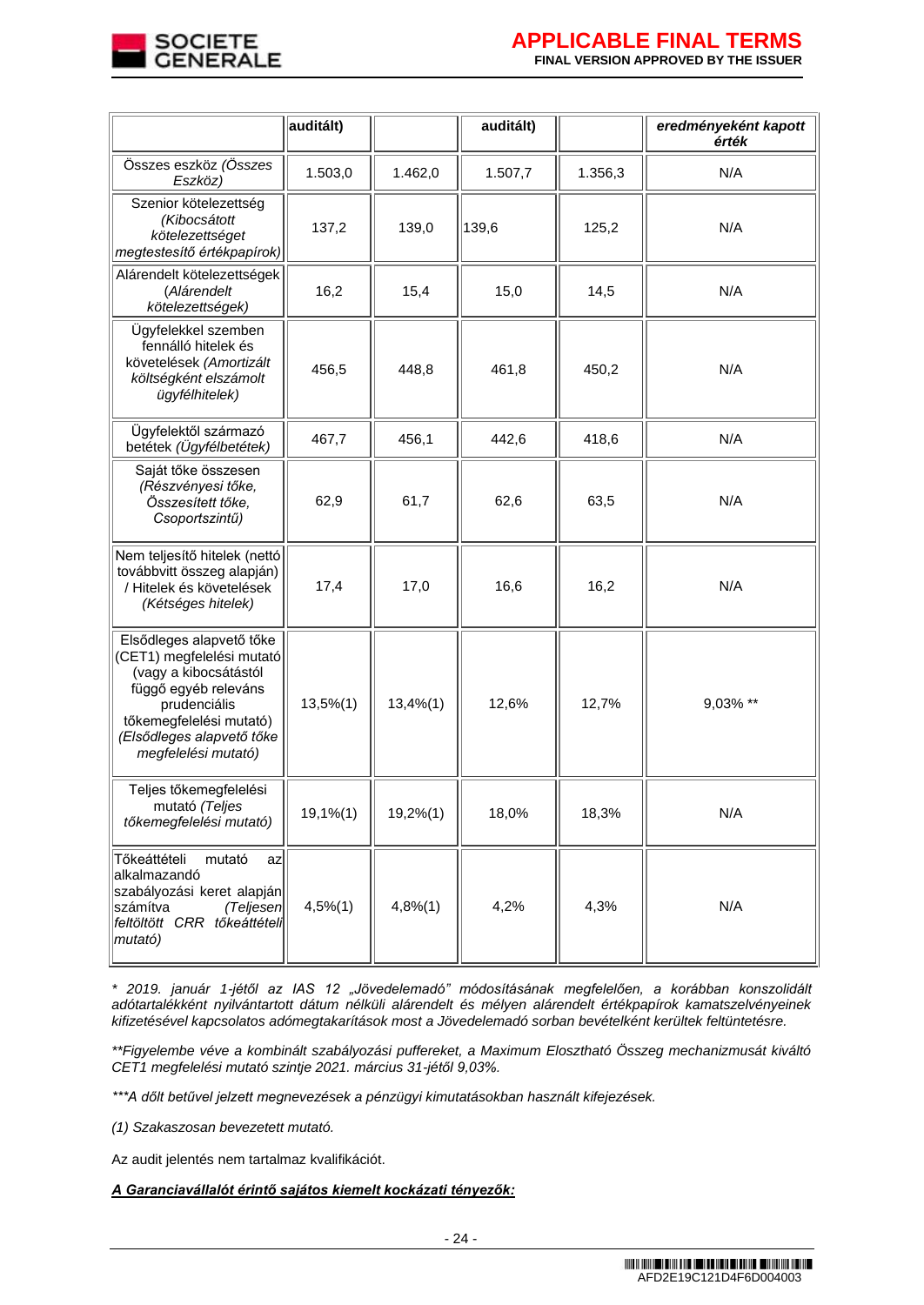

|                                                                                                                                                                                                       | auditált)     |          | auditált) |         | eredményeként kapott<br>érték |
|-------------------------------------------------------------------------------------------------------------------------------------------------------------------------------------------------------|---------------|----------|-----------|---------|-------------------------------|
| Összes eszköz (Összes<br>Eszköz)                                                                                                                                                                      | 1.503,0       | 1.462,0  | 1.507,7   | 1.356,3 | N/A                           |
| Szenior kötelezettség<br>(Kibocsátott<br>kötelezettséget<br>megtestesítő értékpapírok)                                                                                                                | 137,2         | 139,0    | 139,6     | 125,2   | N/A                           |
| Alárendelt kötelezettségek<br>(Alárendelt<br>kötelezettségek)                                                                                                                                         | 16,2          | 15,4     | 15,0      | 14,5    | N/A                           |
| Ügyfelekkel szemben<br>fennálló hitelek és<br>követelések (Amortizált<br>költségként elszámolt<br>ügyfélhitelek)                                                                                      | 456,5         | 448,8    | 461,8     | 450,2   | N/A                           |
| Ügyfelektől származó<br>betétek (Ügyfélbetétek)                                                                                                                                                       | 467,7         | 456,1    | 442,6     | 418,6   | N/A                           |
| Saját tőke összesen<br>(Részvényesi tőke,<br>Összesített tőke,<br>Csoportszintű)                                                                                                                      | 62,9          | 61,7     | 62,6      | 63,5    | N/A                           |
| Nem teljesítő hitelek (nettó<br>továbbvitt összeg alapján)<br>/ Hitelek és követelések<br>(Kétséges hitelek)                                                                                          | 17,4          | 17,0     | 16,6      | 16,2    | N/A                           |
| Elsődleges alapvető tőke<br>(CET1) megfelelési mutató<br>(vagy a kibocsátástól<br>függő egyéb releváns<br>prudenciális<br>tőkemegfelelési mutató)<br>(Elsődleges alapvető tőke<br>megfelelési mutató) | 13,5%(1)      | 13,4%(1) | 12,6%     | 12,7%   | 9,03% **                      |
| Teljes tőkemegfelelési<br>mutató (Teljes<br>tőkemegfelelési mutató)                                                                                                                                   | $19,1%$ $(1)$ | 19,2%(1) | 18,0%     | 18,3%   | N/A                           |
| Tőkeáttételi<br>mutató<br> az <br>alkalmazandó<br>szabályozási keret alapján<br>számítva<br>(Teljesen<br>feltöltött CRR tőkeáttételi<br>mutató)                                                       | $4,5%$ $(1)$  | 4,8%(1)  | 4,2%      | 4,3%    | N/A                           |

*\* 2019. január 1-jétől az IAS 12 "Jövedelemadó" módosításának megfelelően, a korábban konszolidált adótartalékként nyilvántartott dátum nélküli alárendelt és mélyen alárendelt értékpapírok kamatszelvényeinek kifizetésével kapcsolatos adómegtakarítások most a Jövedelemadó sorban bevételként kerültek feltüntetésre.* 

*\*\*Figyelembe véve a kombinált szabályozási puffereket, a Maximum Elosztható Összeg mechanizmusát kiváltó CET1 megfelelési mutató szintje 2021. március 31-jétől 9,03%.*

*\*\*\*A dőlt betűvel jelzett megnevezések a pénzügyi kimutatásokban használt kifejezések.*

*(1) Szakaszosan bevezetett mutató.*

Az audit jelentés nem tartalmaz kvalifikációt.

## *A Garanciavállalót érintő sajátos kiemelt kockázati tényezők:*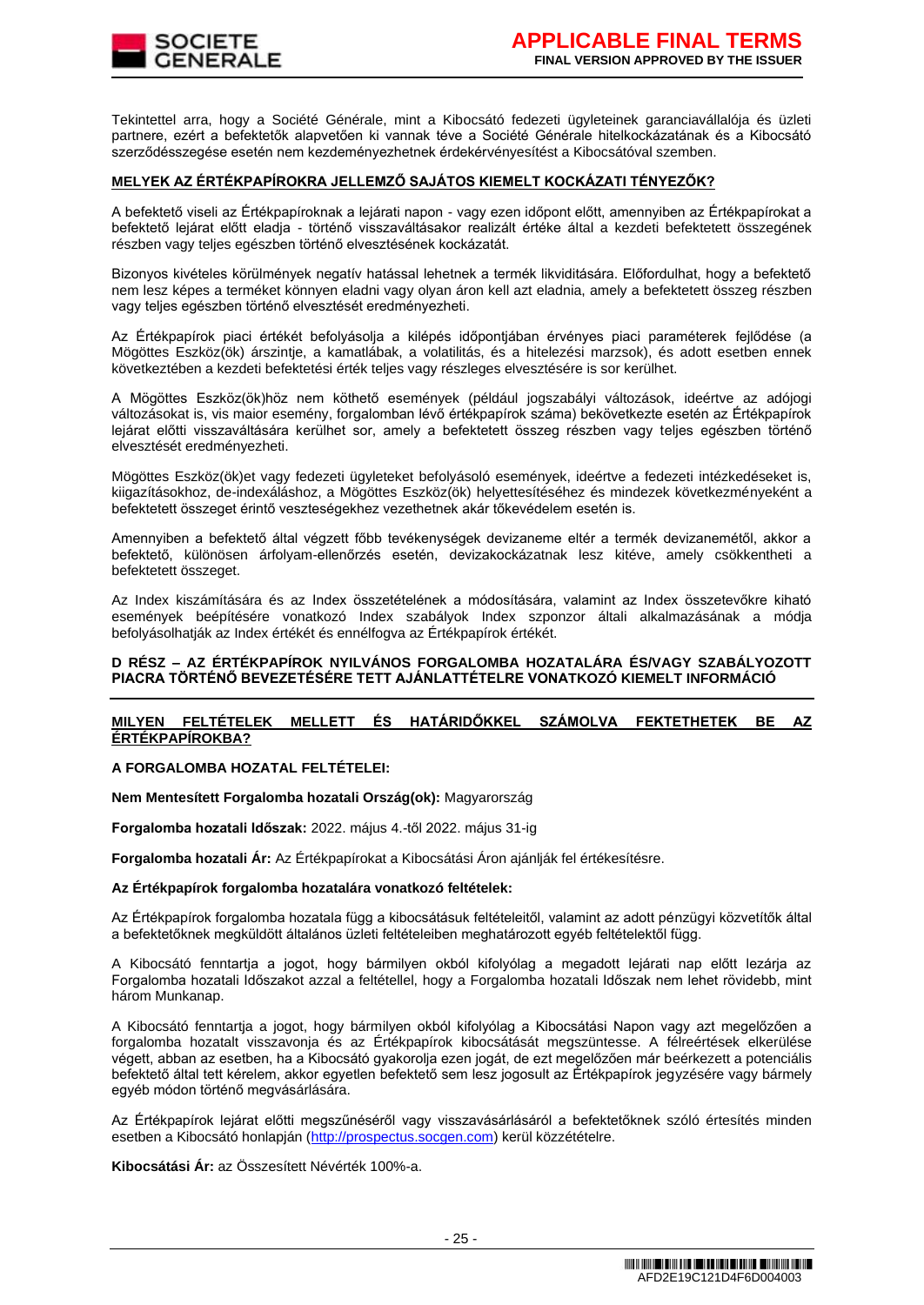

Tekintettel arra, hogy a Société Générale, mint a Kibocsátó fedezeti ügyleteinek garanciavállalója és üzleti partnere, ezért a befektetők alapvetően ki vannak téve a Société Générale hitelkockázatának és a Kibocsátó szerződésszegése esetén nem kezdeményezhetnek érdekérvényesítést a Kibocsátóval szemben.

## **MELYEK AZ ÉRTÉKPAPÍROKRA JELLEMZŐ SAJÁTOS KIEMELT KOCKÁZATI TÉNYEZŐK?**

A befektető viseli az Értékpapíroknak a lejárati napon - vagy ezen időpont előtt, amennyiben az Értékpapírokat a befektető lejárat előtt eladja - történő visszaváltásakor realizált értéke által a kezdeti befektetett összegének részben vagy teljes egészben történő elvesztésének kockázatát.

Bizonyos kivételes körülmények negatív hatással lehetnek a termék likviditására. Előfordulhat, hogy a befektető nem lesz képes a terméket könnyen eladni vagy olyan áron kell azt eladnia, amely a befektetett összeg részben vagy teljes egészben történő elvesztését eredményezheti.

Az Értékpapírok piaci értékét befolyásolja a kilépés időpontjában érvényes piaci paraméterek fejlődése (a Mögöttes Eszköz(ök) árszintje, a kamatlábak, a volatilitás, és a hitelezési marzsok), és adott esetben ennek következtében a kezdeti befektetési érték teljes vagy részleges elvesztésére is sor kerülhet.

A Mögöttes Eszköz(ök)höz nem köthető események (például jogszabályi változások, ideértve az adójogi változásokat is, vis maior esemény, forgalomban lévő értékpapírok száma) bekövetkezte esetén az Értékpapírok lejárat előtti visszaváltására kerülhet sor, amely a befektetett összeg részben vagy teljes egészben történő elvesztését eredményezheti.

Mögöttes Eszköz(ök)et vagy fedezeti ügyleteket befolyásoló események, ideértve a fedezeti intézkedéseket is, kiigazításokhoz, de-indexáláshoz, a Mögöttes Eszköz(ök) helyettesítéséhez és mindezek következményeként a befektetett összeget érintő veszteségekhez vezethetnek akár tőkevédelem esetén is.

Amennyiben a befektető által végzett főbb tevékenységek devizaneme eltér a termék devizanemétől, akkor a befektető, különösen árfolyam-ellenőrzés esetén, devizakockázatnak lesz kitéve, amely csökkentheti a befektetett összeget.

Az Index kiszámítására és az Index összetételének a módosítására, valamint az Index összetevőkre kiható események beépítésére vonatkozó Index szabályok Index szponzor általi alkalmazásának a módja befolyásolhatják az Index értékét és ennélfogva az Értékpapírok értékét.

## **D RÉSZ – AZ ÉRTÉKPAPÍROK NYILVÁNOS FORGALOMBA HOZATALÁRA ÉS/VAGY SZABÁLYOZOTT PIACRA TÖRTÉNŐ BEVEZETÉSÉRE TETT AJÁNLATTÉTELRE VONATKOZÓ KIEMELT INFORMÁCIÓ**

## **MILYEN FELTÉTELEK MELLETT ÉS HATÁRIDŐKKEL SZÁMOLVA FEKTETHETEK BE AZ ÉRTÉKPAPÍROKBA?**

## **A FORGALOMBA HOZATAL FELTÉTELEI:**

**Nem Mentesített Forgalomba hozatali Ország(ok):** Magyarország

**Forgalomba hozatali Időszak:** 2022. május 4.-től 2022. május 31-ig

**Forgalomba hozatali Ár:** Az Értékpapírokat a Kibocsátási Áron ajánlják fel értékesítésre.

#### **Az Értékpapírok forgalomba hozatalára vonatkozó feltételek:**

Az Értékpapírok forgalomba hozatala függ a kibocsátásuk feltételeitől, valamint az adott pénzügyi közvetítők által a befektetőknek megküldött általános üzleti feltételeiben meghatározott egyéb feltételektől függ.

A Kibocsátó fenntartja a jogot, hogy bármilyen okból kifolyólag a megadott lejárati nap előtt lezárja az Forgalomba hozatali Időszakot azzal a feltétellel, hogy a Forgalomba hozatali Időszak nem lehet rövidebb, mint három Munkanap.

A Kibocsátó fenntartja a jogot, hogy bármilyen okból kifolyólag a Kibocsátási Napon vagy azt megelőzően a forgalomba hozatalt visszavonja és az Értékpapírok kibocsátását megszüntesse. A félreértések elkerülése végett, abban az esetben, ha a Kibocsátó gyakorolja ezen jogát, de ezt megelőzően már beérkezett a potenciális befektető által tett kérelem, akkor egyetlen befektető sem lesz jogosult az Értékpapírok jegyzésére vagy bármely egyéb módon történő megvásárlására.

Az Értékpapírok lejárat előtti megszűnéséről vagy visszavásárlásáról a befektetőknek szóló értesítés minden esetben a Kibocsátó honlapján [\(http://prospectus.socgen.com\)](http://prospectus.socgen.com/) kerül közzétételre.

**Kibocsátási Ár:** az Összesített Névérték 100%-a.